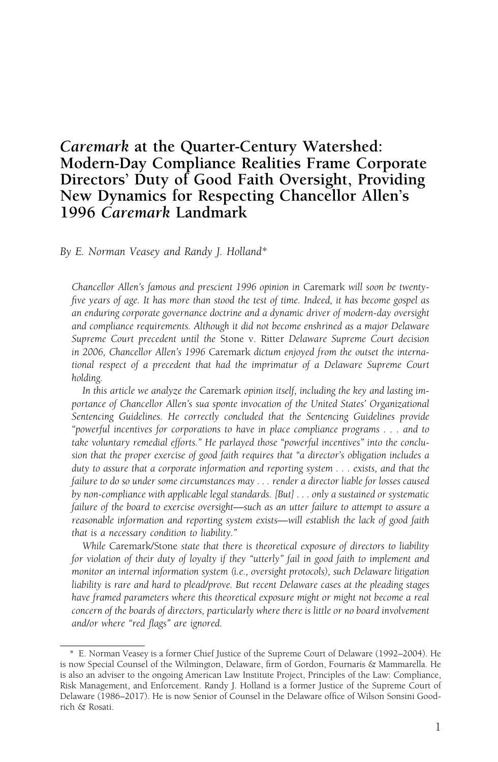# Caremark at the Quarter-Century Watershed: Modern-Day Compliance Realities Frame Corporate Directors' Duty of Good Faith Oversight, Providing New Dynamics for Respecting Chancellor Allen's 1996 Caremark Landmark

By E. Norman Veasey and Randy J. Holland\*

Chancellor Allen's famous and prescient 1996 opinion in Caremark will soon be twentyfive years of age. It has more than stood the test of time. Indeed, it has become gospel as an enduring corporate governance doctrine and a dynamic driver of modern-day oversight and compliance requirements. Although it did not become enshrined as a major Delaware Supreme Court precedent until the Stone v. Ritter Delaware Supreme Court decision in 2006, Chancellor Allen's 1996 Caremark dictum enjoyed from the outset the international respect of a precedent that had the imprimatur of a Delaware Supreme Court holding.

In this article we analyze the Caremark opinion itself, including the key and lasting importance of Chancellor Allen's sua sponte invocation of the United States' Organizational Sentencing Guidelines. He correctly concluded that the Sentencing Guidelines provide "powerful incentives for corporations to have in place compliance programs . . . and to take voluntary remedial efforts." He parlayed those "powerful incentives" into the conclusion that the proper exercise of good faith requires that "a director's obligation includes a duty to assure that a corporate information and reporting system . . . exists, and that the failure to do so under some circumstances may . . . render a director liable for losses caused by non-compliance with applicable legal standards. [But] . . . only a sustained or systematic failure of the board to exercise oversight—such as an utter failure to attempt to assure a reasonable information and reporting system exists—will establish the lack of good faith that is a necessary condition to liability."

While Caremark/Stone state that there is theoretical exposure of directors to liability for violation of their duty of loyalty if they "utterly" fail in good faith to implement and monitor an internal information system (i.e., oversight protocols), such Delaware litigation liability is rare and hard to plead/prove. But recent Delaware cases at the pleading stages have framed parameters where this theoretical exposure might or might not become a real concern of the boards of directors, particularly where there is little or no board involvement and/or where "red flags" are ignored.

<sup>\*</sup> E. Norman Veasey is a former Chief Justice of the Supreme Court of Delaware (1992–2004). He is now Special Counsel of the Wilmington, Delaware, firm of Gordon, Fournaris & Mammarella. He is also an adviser to the ongoing American Law Institute Project, Principles of the Law: Compliance, Risk Management, and Enforcement. Randy J. Holland is a former Justice of the Supreme Court of Delaware (1986–2017). He is now Senior of Counsel in the Delaware office of Wilson Sonsini Goodrich & Rosati.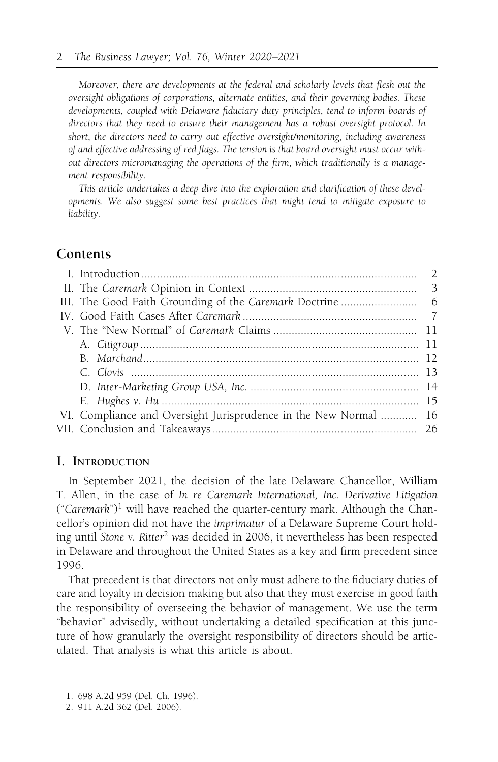Moreover, there are developments at the federal and scholarly levels that flesh out the oversight obligations of corporations, alternate entities, and their governing bodies. These developments, coupled with Delaware fiduciary duty principles, tend to inform boards of directors that they need to ensure their management has a robust oversight protocol. In short, the directors need to carry out effective oversight/monitoring, including awareness of and effective addressing of red flags. The tension is that board oversight must occur without directors micromanaging the operations of the firm, which traditionally is a management responsibility.

This article undertakes a deep dive into the exploration and clarification of these developments. We also suggest some best practices that might tend to mitigate exposure to liability.

# **Contents**

| VI. Compliance and Oversight Jurisprudence in the New Normal  16 |  |
|------------------------------------------------------------------|--|
|                                                                  |  |
|                                                                  |  |

### I. INTRODUCTION

In September 2021, the decision of the late Delaware Chancellor, William T. Allen, in the case of In re Caremark International, Inc. Derivative Litigation ("Caremark")<sup>1</sup> will have reached the quarter-century mark. Although the Chancellor's opinion did not have the imprimatur of a Delaware Supreme Court holding until Stone v. Ritter<sup>2</sup> was decided in 2006, it nevertheless has been respected in Delaware and throughout the United States as a key and firm precedent since 1996.

That precedent is that directors not only must adhere to the fiduciary duties of care and loyalty in decision making but also that they must exercise in good faith the responsibility of overseeing the behavior of management. We use the term "behavior" advisedly, without undertaking a detailed specification at this juncture of how granularly the oversight responsibility of directors should be articulated. That analysis is what this article is about.

<sup>1. 698</sup> A.2d 959 (Del. Ch. 1996).

<sup>2. 911</sup> A.2d 362 (Del. 2006).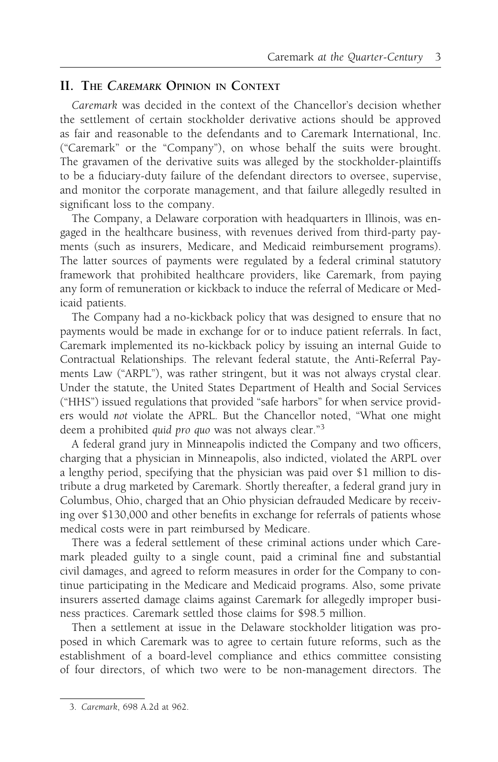# II. THE CAREMARK OPINION IN CONTEXT

Caremark was decided in the context of the Chancellor's decision whether the settlement of certain stockholder derivative actions should be approved as fair and reasonable to the defendants and to Caremark International, Inc. ("Caremark" or the "Company"), on whose behalf the suits were brought. The gravamen of the derivative suits was alleged by the stockholder-plaintiffs to be a fiduciary-duty failure of the defendant directors to oversee, supervise, and monitor the corporate management, and that failure allegedly resulted in significant loss to the company.

The Company, a Delaware corporation with headquarters in Illinois, was engaged in the healthcare business, with revenues derived from third-party payments (such as insurers, Medicare, and Medicaid reimbursement programs). The latter sources of payments were regulated by a federal criminal statutory framework that prohibited healthcare providers, like Caremark, from paying any form of remuneration or kickback to induce the referral of Medicare or Medicaid patients.

The Company had a no-kickback policy that was designed to ensure that no payments would be made in exchange for or to induce patient referrals. In fact, Caremark implemented its no-kickback policy by issuing an internal Guide to Contractual Relationships. The relevant federal statute, the Anti-Referral Payments Law ("ARPL"), was rather stringent, but it was not always crystal clear. Under the statute, the United States Department of Health and Social Services ("HHS") issued regulations that provided "safe harbors" for when service providers would not violate the APRL. But the Chancellor noted, "What one might deem a prohibited quid pro quo was not always clear."<sup>3</sup>

A federal grand jury in Minneapolis indicted the Company and two officers, charging that a physician in Minneapolis, also indicted, violated the ARPL over a lengthy period, specifying that the physician was paid over \$1 million to distribute a drug marketed by Caremark. Shortly thereafter, a federal grand jury in Columbus, Ohio, charged that an Ohio physician defrauded Medicare by receiving over \$130,000 and other benefits in exchange for referrals of patients whose medical costs were in part reimbursed by Medicare.

There was a federal settlement of these criminal actions under which Caremark pleaded guilty to a single count, paid a criminal fine and substantial civil damages, and agreed to reform measures in order for the Company to continue participating in the Medicare and Medicaid programs. Also, some private insurers asserted damage claims against Caremark for allegedly improper business practices. Caremark settled those claims for \$98.5 million.

Then a settlement at issue in the Delaware stockholder litigation was proposed in which Caremark was to agree to certain future reforms, such as the establishment of a board-level compliance and ethics committee consisting of four directors, of which two were to be non-management directors. The

<sup>3.</sup> Caremark, 698 A.2d at 962.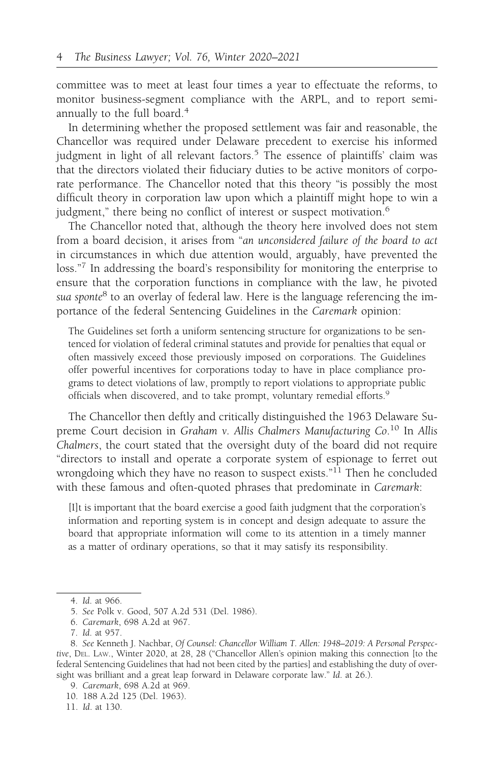committee was to meet at least four times a year to effectuate the reforms, to monitor business-segment compliance with the ARPL, and to report semiannually to the full board.<sup>4</sup>

In determining whether the proposed settlement was fair and reasonable, the Chancellor was required under Delaware precedent to exercise his informed judgment in light of all relevant factors.<sup>5</sup> The essence of plaintiffs' claim was that the directors violated their fiduciary duties to be active monitors of corporate performance. The Chancellor noted that this theory "is possibly the most difficult theory in corporation law upon which a plaintiff might hope to win a judgment," there being no conflict of interest or suspect motivation.<sup>6</sup>

The Chancellor noted that, although the theory here involved does not stem from a board decision, it arises from "an unconsidered failure of the board to act in circumstances in which due attention would, arguably, have prevented the loss."<sup>7</sup> In addressing the board's responsibility for monitoring the enterprise to ensure that the corporation functions in compliance with the law, he pivoted sua sponte $8$  to an overlay of federal law. Here is the language referencing the importance of the federal Sentencing Guidelines in the Caremark opinion:

The Guidelines set forth a uniform sentencing structure for organizations to be sentenced for violation of federal criminal statutes and provide for penalties that equal or often massively exceed those previously imposed on corporations. The Guidelines offer powerful incentives for corporations today to have in place compliance programs to detect violations of law, promptly to report violations to appropriate public officials when discovered, and to take prompt, voluntary remedial efforts.<sup>9</sup>

The Chancellor then deftly and critically distinguished the 1963 Delaware Supreme Court decision in Graham v. Allis Chalmers Manufacturing Co.<sup>10</sup> In Allis Chalmers, the court stated that the oversight duty of the board did not require "directors to install and operate a corporate system of espionage to ferret out wrongdoing which they have no reason to suspect exists."<sup>11</sup> Then he concluded with these famous and often-quoted phrases that predominate in Caremark:

[I]t is important that the board exercise a good faith judgment that the corporation's information and reporting system is in concept and design adequate to assure the board that appropriate information will come to its attention in a timely manner as a matter of ordinary operations, so that it may satisfy its responsibility.

<sup>4.</sup> Id. at 966.

<sup>5.</sup> See Polk v. Good, 507 A.2d 531 (Del. 1986).

<sup>6.</sup> Caremark, 698 A.2d at 967.

<sup>7.</sup> Id. at 957.

<sup>8.</sup> See Kenneth J. Nachbar, Of Counsel: Chancellor William T. Allen: 1948–2019: A Personal Perspective, DEL. LAW., Winter 2020, at 28, 28 ("Chancellor Allen's opinion making this connection [to the federal Sentencing Guidelines that had not been cited by the parties] and establishing the duty of oversight was brilliant and a great leap forward in Delaware corporate law." Id. at 26.).

<sup>9.</sup> Caremark, 698 A.2d at 969.

<sup>10. 188</sup> A.2d 125 (Del. 1963).

<sup>11.</sup> Id. at 130.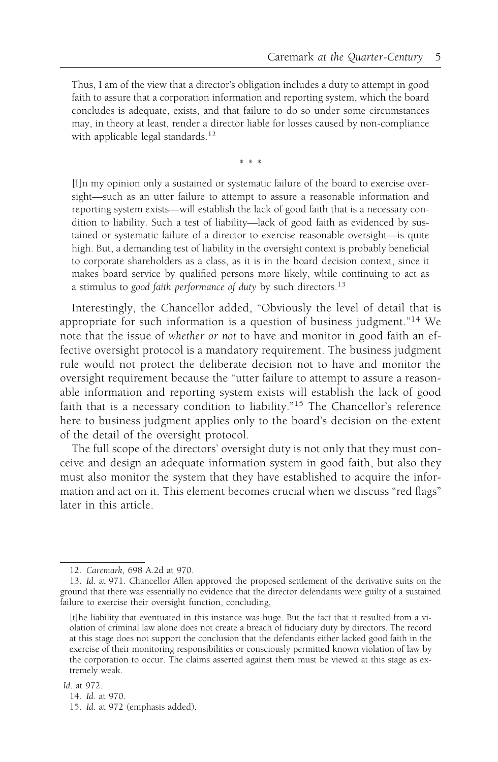Thus, I am of the view that a director's obligation includes a duty to attempt in good faith to assure that a corporation information and reporting system, which the board concludes is adequate, exists, and that failure to do so under some circumstances may, in theory at least, render a director liable for losses caused by non-compliance with applicable legal standards.<sup>12</sup>

\*\*\*

[I]n my opinion only a sustained or systematic failure of the board to exercise oversight—such as an utter failure to attempt to assure a reasonable information and reporting system exists—will establish the lack of good faith that is a necessary condition to liability. Such a test of liability—lack of good faith as evidenced by sustained or systematic failure of a director to exercise reasonable oversight—is quite high. But, a demanding test of liability in the oversight context is probably beneficial to corporate shareholders as a class, as it is in the board decision context, since it makes board service by qualified persons more likely, while continuing to act as a stimulus to good faith performance of duty by such directors.<sup>13</sup>

Interestingly, the Chancellor added, "Obviously the level of detail that is appropriate for such information is a question of business judgment."<sup>14</sup> We note that the issue of whether or not to have and monitor in good faith an effective oversight protocol is a mandatory requirement. The business judgment rule would not protect the deliberate decision not to have and monitor the oversight requirement because the "utter failure to attempt to assure a reasonable information and reporting system exists will establish the lack of good faith that is a necessary condition to liability."<sup>15</sup> The Chancellor's reference here to business judgment applies only to the board's decision on the extent of the detail of the oversight protocol.

The full scope of the directors' oversight duty is not only that they must conceive and design an adequate information system in good faith, but also they must also monitor the system that they have established to acquire the information and act on it. This element becomes crucial when we discuss "red flags" later in this article.

<sup>12.</sup> Caremark, 698 A.2d at 970.

<sup>13.</sup> Id. at 971. Chancellor Allen approved the proposed settlement of the derivative suits on the ground that there was essentially no evidence that the director defendants were guilty of a sustained failure to exercise their oversight function, concluding,

<sup>[</sup>t]he liability that eventuated in this instance was huge. But the fact that it resulted from a violation of criminal law alone does not create a breach of fiduciary duty by directors. The record at this stage does not support the conclusion that the defendants either lacked good faith in the exercise of their monitoring responsibilities or consciously permitted known violation of law by the corporation to occur. The claims asserted against them must be viewed at this stage as extremely weak.

<sup>14.</sup> Id. at 970.

<sup>15.</sup> Id. at 972 (emphasis added).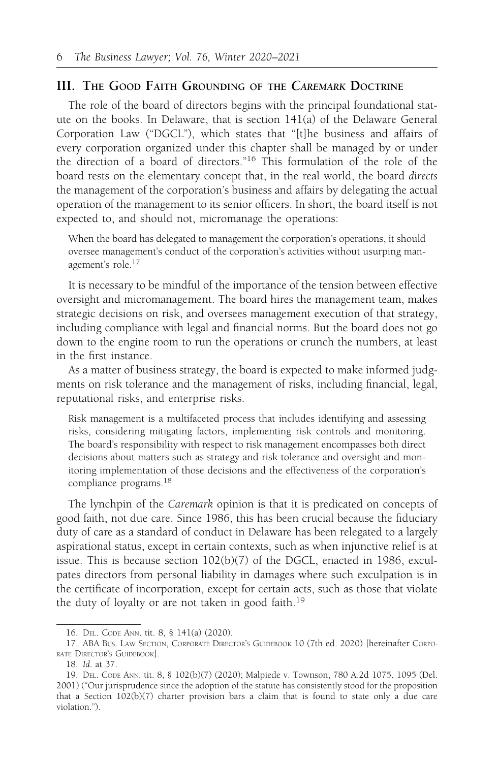# III. THE GOOD FAITH GROUNDING OF THE CAREMARK DOCTRINE

The role of the board of directors begins with the principal foundational statute on the books. In Delaware, that is section 141(a) of the Delaware General Corporation Law ("DGCL"), which states that "[t]he business and affairs of every corporation organized under this chapter shall be managed by or under the direction of a board of directors."16 This formulation of the role of the board rests on the elementary concept that, in the real world, the board directs the management of the corporation's business and affairs by delegating the actual operation of the management to its senior officers. In short, the board itself is not expected to, and should not, micromanage the operations:

When the board has delegated to management the corporation's operations, it should oversee management's conduct of the corporation's activities without usurping management's role.17

It is necessary to be mindful of the importance of the tension between effective oversight and micromanagement. The board hires the management team, makes strategic decisions on risk, and oversees management execution of that strategy, including compliance with legal and financial norms. But the board does not go down to the engine room to run the operations or crunch the numbers, at least in the first instance.

As a matter of business strategy, the board is expected to make informed judgments on risk tolerance and the management of risks, including financial, legal, reputational risks, and enterprise risks.

Risk management is a multifaceted process that includes identifying and assessing risks, considering mitigating factors, implementing risk controls and monitoring. The board's responsibility with respect to risk management encompasses both direct decisions about matters such as strategy and risk tolerance and oversight and monitoring implementation of those decisions and the effectiveness of the corporation's compliance programs.<sup>18</sup>

The lynchpin of the Caremark opinion is that it is predicated on concepts of good faith, not due care. Since 1986, this has been crucial because the fiduciary duty of care as a standard of conduct in Delaware has been relegated to a largely aspirational status, except in certain contexts, such as when injunctive relief is at issue. This is because section 102(b)(7) of the DGCL, enacted in 1986, exculpates directors from personal liability in damages where such exculpation is in the certificate of incorporation, except for certain acts, such as those that violate the duty of loyalty or are not taken in good faith.<sup>19</sup>

<sup>16.</sup> DEL. CODE ANN. tit. 8, § 141(a) (2020).

<sup>17.</sup> ABA BUS. LAW SECTION, CORPORATE DIRECTOR'S GUIDEBOOK 10 (7th ed. 2020) [hereinafter CORPO-RATE DIRECTOR'S GUIDEBOOK].

<sup>18.</sup> Id. at 37.

<sup>19.</sup> DEL. CODE ANN. tit. 8, § 102(b)(7) (2020); Malpiede v. Townson, 780 A.2d 1075, 1095 (Del. 2001) ("Our jurisprudence since the adoption of the statute has consistently stood for the proposition that a Section  $102(b)(7)$  charter provision bars a claim that is found to state only a due care violation.").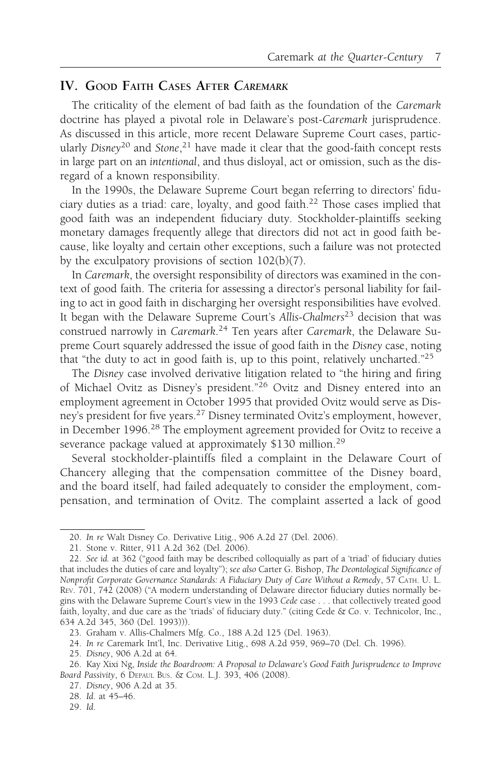# IV. GOOD FAITH CASES AFTER CAREMARK

The criticality of the element of bad faith as the foundation of the Caremark doctrine has played a pivotal role in Delaware's post-Caremark jurisprudence. As discussed in this article, more recent Delaware Supreme Court cases, particularly Disney<sup>20</sup> and Stone,<sup>21</sup> have made it clear that the good-faith concept rests in large part on an intentional, and thus disloyal, act or omission, such as the disregard of a known responsibility.

In the 1990s, the Delaware Supreme Court began referring to directors' fiduciary duties as a triad: care, loyalty, and good faith.<sup>22</sup> Those cases implied that good faith was an independent fiduciary duty. Stockholder-plaintiffs seeking monetary damages frequently allege that directors did not act in good faith because, like loyalty and certain other exceptions, such a failure was not protected by the exculpatory provisions of section 102(b)(7).

In Caremark, the oversight responsibility of directors was examined in the context of good faith. The criteria for assessing a director's personal liability for failing to act in good faith in discharging her oversight responsibilities have evolved. It began with the Delaware Supreme Court's Allis-Chalmers<sup>23</sup> decision that was construed narrowly in Caremark.<sup>24</sup> Ten years after Caremark, the Delaware Supreme Court squarely addressed the issue of good faith in the Disney case, noting that "the duty to act in good faith is, up to this point, relatively uncharted." $25$ 

The Disney case involved derivative litigation related to "the hiring and firing of Michael Ovitz as Disney's president."<sup>26</sup> Ovitz and Disney entered into an employment agreement in October 1995 that provided Ovitz would serve as Disney's president for five years.<sup>27</sup> Disney terminated Ovitz's employment, however, in December 1996.<sup>28</sup> The employment agreement provided for Ovitz to receive a severance package valued at approximately \$130 million.<sup>29</sup>

Several stockholder-plaintiffs filed a complaint in the Delaware Court of Chancery alleging that the compensation committee of the Disney board, and the board itself, had failed adequately to consider the employment, compensation, and termination of Ovitz. The complaint asserted a lack of good

<sup>20.</sup> In re Walt Disney Co. Derivative Litig., 906 A.2d 27 (Del. 2006).

<sup>21.</sup> Stone v. Ritter, 911 A.2d 362 (Del. 2006).

<sup>22.</sup> See id. at 362 ("good faith may be described colloquially as part of a 'triad' of fiduciary duties that includes the duties of care and loyalty"); see also Carter G. Bishop, The Deontological Significance of Nonprofit Corporate Governance Standards: A Fiduciary Duty of Care Without a Remedy, 57 CATH. U. L. REV. 701, 742 (2008) ("A modern understanding of Delaware director fiduciary duties normally begins with the Delaware Supreme Court's view in the 1993 Cede case . . . that collectively treated good faith, loyalty, and due care as the 'triads' of fiduciary duty." (citing Cede & Co. v. Technicolor, Inc., 634 A.2d 345, 360 (Del. 1993))).

<sup>23.</sup> Graham v. Allis-Chalmers Mfg. Co., 188 A.2d 125 (Del. 1963).

<sup>24.</sup> In re Caremark Int'l, Inc. Derivative Litig., 698 A.2d 959, 969–70 (Del. Ch. 1996).

<sup>25.</sup> Disney, 906 A.2d at 64.

<sup>26.</sup> Kay Xixi Ng, Inside the Boardroom: A Proposal to Delaware's Good Faith Jurisprudence to Improve Board Passivity, 6 DEPAUL BUS. & COM. L.J. 393, 406 (2008).

<sup>27.</sup> Disney, 906 A.2d at 35.

<sup>28.</sup> Id. at 45–46.

<sup>29.</sup> Id.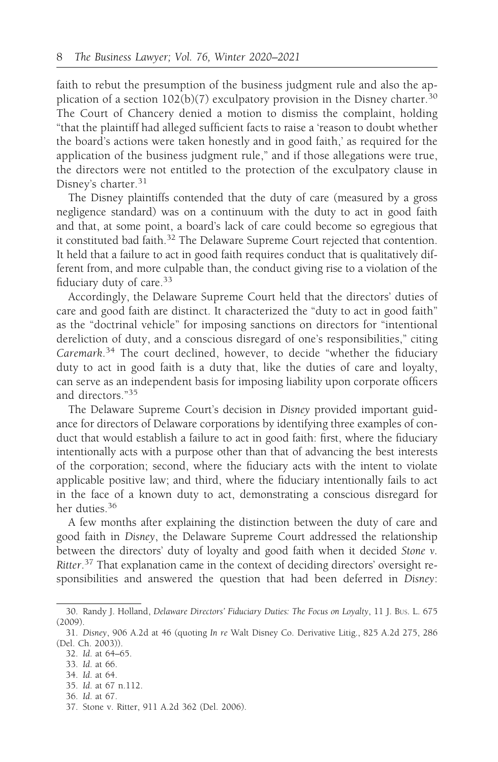faith to rebut the presumption of the business judgment rule and also the application of a section  $102(b)(7)$  exculpatory provision in the Disney charter.<sup>30</sup> The Court of Chancery denied a motion to dismiss the complaint, holding "that the plaintiff had alleged sufficient facts to raise a 'reason to doubt whether the board's actions were taken honestly and in good faith,' as required for the application of the business judgment rule," and if those allegations were true, the directors were not entitled to the protection of the exculpatory clause in Disney's charter.<sup>31</sup>

The Disney plaintiffs contended that the duty of care (measured by a gross negligence standard) was on a continuum with the duty to act in good faith and that, at some point, a board's lack of care could become so egregious that it constituted bad faith.<sup>32</sup> The Delaware Supreme Court rejected that contention. It held that a failure to act in good faith requires conduct that is qualitatively different from, and more culpable than, the conduct giving rise to a violation of the fiduciary duty of care. $33$ 

Accordingly, the Delaware Supreme Court held that the directors' duties of care and good faith are distinct. It characterized the "duty to act in good faith" as the "doctrinal vehicle" for imposing sanctions on directors for "intentional dereliction of duty, and a conscious disregard of one's responsibilities," citing Caremark.<sup>34</sup> The court declined, however, to decide "whether the fiduciary duty to act in good faith is a duty that, like the duties of care and loyalty, can serve as an independent basis for imposing liability upon corporate officers and directors."<sup>35</sup>

The Delaware Supreme Court's decision in Disney provided important guidance for directors of Delaware corporations by identifying three examples of conduct that would establish a failure to act in good faith: first, where the fiduciary intentionally acts with a purpose other than that of advancing the best interests of the corporation; second, where the fiduciary acts with the intent to violate applicable positive law; and third, where the fiduciary intentionally fails to act in the face of a known duty to act, demonstrating a conscious disregard for her duties.<sup>36</sup>

A few months after explaining the distinction between the duty of care and good faith in Disney, the Delaware Supreme Court addressed the relationship between the directors' duty of loyalty and good faith when it decided Stone v. Ritter.<sup>37</sup> That explanation came in the context of deciding directors' oversight responsibilities and answered the question that had been deferred in Disney:

- 33. Id. at 66.
- 34. Id. at 64.
- 35. Id. at 67 n.112.
- 36. Id. at 67.

<sup>30.</sup> Randy J. Holland, Delaware Directors' Fiduciary Duties: The Focus on Loyalty, 11 J. BUS. L. 675 (2009).

<sup>31.</sup> Disney, 906 A.2d at 46 (quoting In re Walt Disney Co. Derivative Litig., 825 A.2d 275, 286 (Del. Ch. 2003)).

<sup>32.</sup> Id. at 64–65.

<sup>37.</sup> Stone v. Ritter, 911 A.2d 362 (Del. 2006).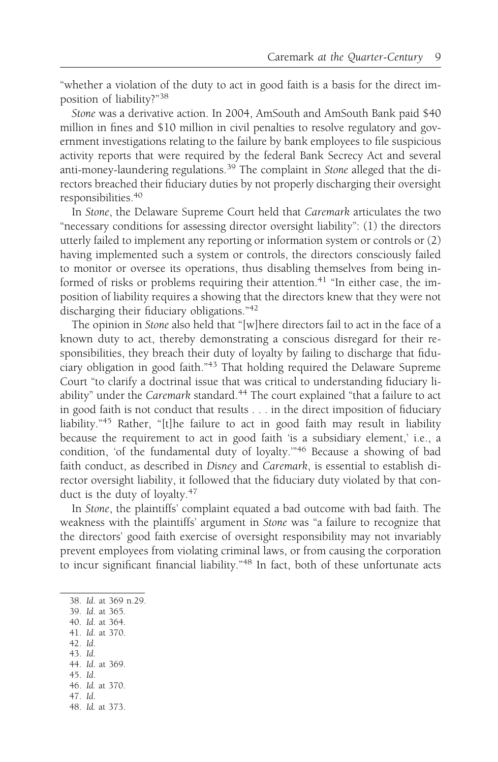"whether a violation of the duty to act in good faith is a basis for the direct imposition of liability?"<sup>38</sup>

Stone was a derivative action. In 2004, AmSouth and AmSouth Bank paid \$40 million in fines and \$10 million in civil penalties to resolve regulatory and government investigations relating to the failure by bank employees to file suspicious activity reports that were required by the federal Bank Secrecy Act and several anti-money-laundering regulations.39 The complaint in Stone alleged that the directors breached their fiduciary duties by not properly discharging their oversight responsibilities.40

In Stone, the Delaware Supreme Court held that Caremark articulates the two "necessary conditions for assessing director oversight liability": (1) the directors utterly failed to implement any reporting or information system or controls or (2) having implemented such a system or controls, the directors consciously failed to monitor or oversee its operations, thus disabling themselves from being informed of risks or problems requiring their attention.<sup>41</sup> "In either case, the imposition of liability requires a showing that the directors knew that they were not discharging their fiduciary obligations."<sup>42</sup>

The opinion in Stone also held that "[w]here directors fail to act in the face of a known duty to act, thereby demonstrating a conscious disregard for their responsibilities, they breach their duty of loyalty by failing to discharge that fiduciary obligation in good faith."<sup>43</sup> That holding required the Delaware Supreme Court "to clarify a doctrinal issue that was critical to understanding fiduciary liability" under the Caremark standard.<sup>44</sup> The court explained "that a failure to act in good faith is not conduct that results . . . in the direct imposition of fiduciary liability."<sup>45</sup> Rather, "[t]he failure to act in good faith may result in liability because the requirement to act in good faith 'is a subsidiary element,' i.e., a condition, 'of the fundamental duty of loyalty.'"<sup>46</sup> Because a showing of bad faith conduct, as described in Disney and Caremark, is essential to establish director oversight liability, it followed that the fiduciary duty violated by that conduct is the duty of loyalty.<sup>47</sup>

In Stone, the plaintiffs' complaint equated a bad outcome with bad faith. The weakness with the plaintiffs' argument in Stone was "a failure to recognize that the directors' good faith exercise of oversight responsibility may not invariably prevent employees from violating criminal laws, or from causing the corporation to incur significant financial liability."<sup>48</sup> In fact, both of these unfortunate acts

|  |                 | 38. Id. at 369 n.29. |
|--|-----------------|----------------------|
|  | 39. Id. at 365. |                      |

- 40. Id. at 364.
- 41. Id. at 370.
- 42. Id.
- 43. Id.
- 44. Id. at 369.
- 45. Id.
- 46. Id. at 370. 47. Id.
- 48. Id. at 373.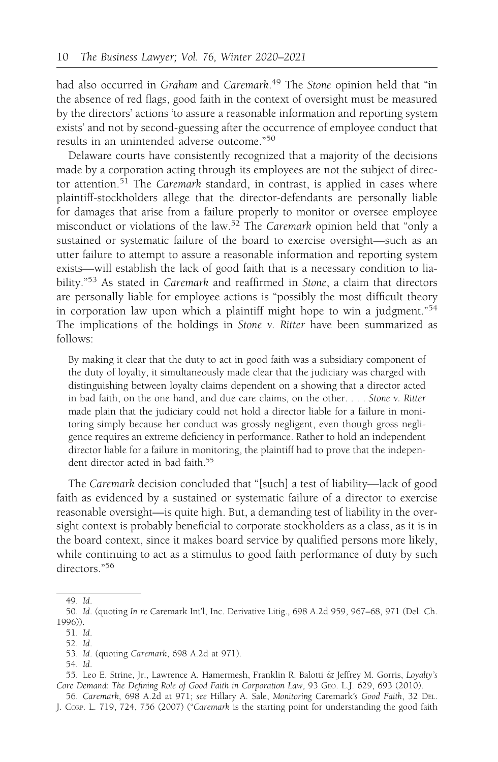had also occurred in Graham and Caremark.<sup>49</sup> The Stone opinion held that "in the absence of red flags, good faith in the context of oversight must be measured by the directors' actions 'to assure a reasonable information and reporting system exists' and not by second-guessing after the occurrence of employee conduct that results in an unintended adverse outcome."<sup>50</sup>

Delaware courts have consistently recognized that a majority of the decisions made by a corporation acting through its employees are not the subject of director attention.<sup>51</sup> The Caremark standard, in contrast, is applied in cases where plaintiff-stockholders allege that the director-defendants are personally liable for damages that arise from a failure properly to monitor or oversee employee misconduct or violations of the law.<sup>52</sup> The Caremark opinion held that "only a sustained or systematic failure of the board to exercise oversight—such as an utter failure to attempt to assure a reasonable information and reporting system exists—will establish the lack of good faith that is a necessary condition to liability."<sup>53</sup> As stated in *Caremark* and reaffirmed in *Stone*, a claim that directors are personally liable for employee actions is "possibly the most difficult theory in corporation law upon which a plaintiff might hope to win a judgment."<sup>54</sup> The implications of the holdings in Stone v. Ritter have been summarized as follows:

By making it clear that the duty to act in good faith was a subsidiary component of the duty of loyalty, it simultaneously made clear that the judiciary was charged with distinguishing between loyalty claims dependent on a showing that a director acted in bad faith, on the one hand, and due care claims, on the other. . . . Stone v. Ritter made plain that the judiciary could not hold a director liable for a failure in monitoring simply because her conduct was grossly negligent, even though gross negligence requires an extreme deficiency in performance. Rather to hold an independent director liable for a failure in monitoring, the plaintiff had to prove that the independent director acted in bad faith.<sup>55</sup>

The Caremark decision concluded that "[such] a test of liability—lack of good faith as evidenced by a sustained or systematic failure of a director to exercise reasonable oversight—is quite high. But, a demanding test of liability in the oversight context is probably beneficial to corporate stockholders as a class, as it is in the board context, since it makes board service by qualified persons more likely, while continuing to act as a stimulus to good faith performance of duty by such directors."56

54. Id.

<sup>49.</sup> Id.

<sup>50.</sup> Id. (quoting In re Caremark Int'l, Inc. Derivative Litig., 698 A.2d 959, 967–68, 971 (Del. Ch. 1996)).

<sup>51.</sup> Id.

<sup>52.</sup> Id.

<sup>53.</sup> Id. (quoting Caremark, 698 A.2d at 971).

<sup>55.</sup> Leo E. Strine, Jr., Lawrence A. Hamermesh, Franklin R. Balotti & Jeffrey M. Gorris, Loyalty's Core Demand: The Defining Role of Good Faith in Corporation Law, 93 GEO. L.J. 629, 693 (2010).

<sup>56.</sup> Caremark, 698 A.2d at 971; see Hillary A. Sale, Monitoring Caremark's Good Faith, 32 DEL. J. CORP. L. 719, 724, 756 (2007) ("Caremark is the starting point for understanding the good faith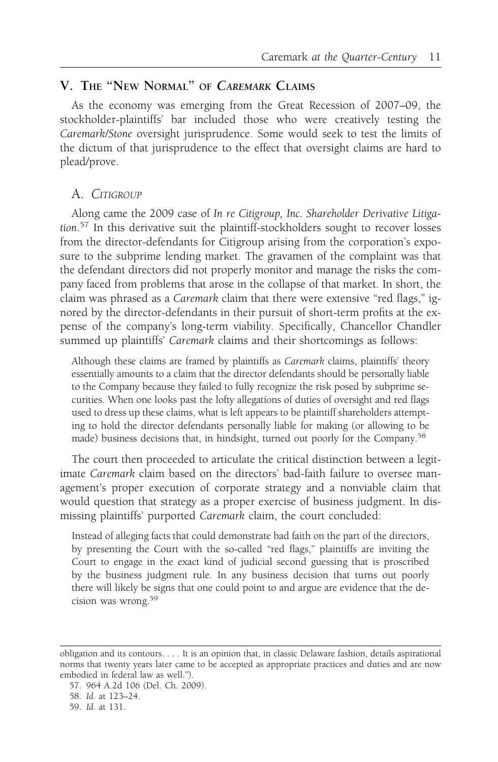# V. THE "NEW NORMAL" OF CAREMARK CLAIMS

As the economy was emerging from the Great Recession of 2007–09, the stockholder-plaintiffs' bar included those who were creatively testing the Caremark/Stone oversight jurisprudence. Some would seek to test the limits of the dictum of that jurisprudence to the effect that oversight claims are hard to plead/prove.

#### A. CITIGROUP

Along came the 2009 case of In re Citigroup, Inc. Shareholder Derivative Litigation.<sup>57</sup> In this derivative suit the plaintiff-stockholders sought to recover losses from the director-defendants for Citigroup arising from the corporation's exposure to the subprime lending market. The gravamen of the complaint was that the defendant directors did not properly monitor and manage the risks the company faced from problems that arose in the collapse of that market. In short, the claim was phrased as a Caremark claim that there were extensive "red flags," ignored by the director-defendants in their pursuit of short-term profits at the expense of the company's long-term viability. Specifically, Chancellor Chandler summed up plaintiffs' Caremark claims and their shortcomings as follows:

Although these claims are framed by plaintiffs as Caremark claims, plaintiffs' theory essentially amounts to a claim that the director defendants should be personally liable to the Company because they failed to fully recognize the risk posed by subprime securities. When one looks past the lofty allegations of duties of oversight and red flags used to dress up these claims, what is left appears to be plaintiff shareholders attempting to hold the director defendants personally liable for making (or allowing to be made) business decisions that, in hindsight, turned out poorly for the Company.<sup>58</sup>

The court then proceeded to articulate the critical distinction between a legitimate Caremark claim based on the directors' bad-faith failure to oversee management's proper execution of corporate strategy and a nonviable claim that would question that strategy as a proper exercise of business judgment. In dismissing plaintiffs' purported Caremark claim, the court concluded:

Instead of alleging facts that could demonstrate bad faith on the part of the directors, by presenting the Court with the so-called "red flags," plaintiffs are inviting the Court to engage in the exact kind of judicial second guessing that is proscribed by the business judgment rule. In any business decision that turns out poorly there will likely be signs that one could point to and argue are evidence that the decision was wrong.<sup>59</sup>

obligation and its contours. . . . It is an opinion that, in classic Delaware fashion, details aspirational norms that twenty years later came to be accepted as appropriate practices and duties and are now embodied in federal law as well.").

<sup>57. 964</sup> A.2d 106 (Del. Ch. 2009).

<sup>58.</sup> Id. at 123–24.

<sup>59.</sup> Id. at 131.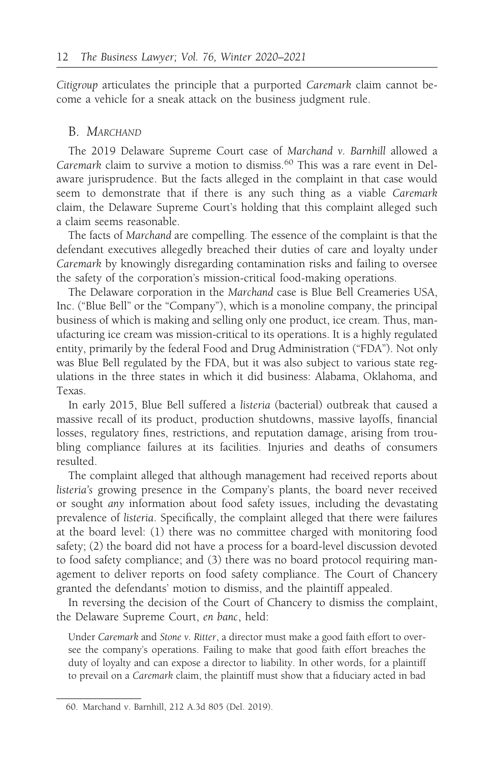Citigroup articulates the principle that a purported Caremark claim cannot become a vehicle for a sneak attack on the business judgment rule.

# B. MARCHAND

The 2019 Delaware Supreme Court case of Marchand v. Barnhill allowed a *Caremark claim to survive a motion to dismiss.*<sup>60</sup> This was a rare event in Delaware jurisprudence. But the facts alleged in the complaint in that case would seem to demonstrate that if there is any such thing as a viable Caremark claim, the Delaware Supreme Court's holding that this complaint alleged such a claim seems reasonable.

The facts of Marchand are compelling. The essence of the complaint is that the defendant executives allegedly breached their duties of care and loyalty under Caremark by knowingly disregarding contamination risks and failing to oversee the safety of the corporation's mission-critical food-making operations.

The Delaware corporation in the Marchand case is Blue Bell Creameries USA, Inc. ("Blue Bell" or the "Company"), which is a monoline company, the principal business of which is making and selling only one product, ice cream. Thus, manufacturing ice cream was mission-critical to its operations. It is a highly regulated entity, primarily by the federal Food and Drug Administration ("FDA"). Not only was Blue Bell regulated by the FDA, but it was also subject to various state regulations in the three states in which it did business: Alabama, Oklahoma, and Texas.

In early 2015, Blue Bell suffered a listeria (bacterial) outbreak that caused a massive recall of its product, production shutdowns, massive layoffs, financial losses, regulatory fines, restrictions, and reputation damage, arising from troubling compliance failures at its facilities. Injuries and deaths of consumers resulted.

The complaint alleged that although management had received reports about listeria's growing presence in the Company's plants, the board never received or sought any information about food safety issues, including the devastating prevalence of listeria. Specifically, the complaint alleged that there were failures at the board level: (1) there was no committee charged with monitoring food safety; (2) the board did not have a process for a board-level discussion devoted to food safety compliance; and (3) there was no board protocol requiring management to deliver reports on food safety compliance. The Court of Chancery granted the defendants' motion to dismiss, and the plaintiff appealed.

In reversing the decision of the Court of Chancery to dismiss the complaint, the Delaware Supreme Court, en banc, held:

Under Caremark and Stone v. Ritter, a director must make a good faith effort to oversee the company's operations. Failing to make that good faith effort breaches the duty of loyalty and can expose a director to liability. In other words, for a plaintiff to prevail on a Caremark claim, the plaintiff must show that a fiduciary acted in bad

<sup>60.</sup> Marchand v. Barnhill, 212 A.3d 805 (Del. 2019).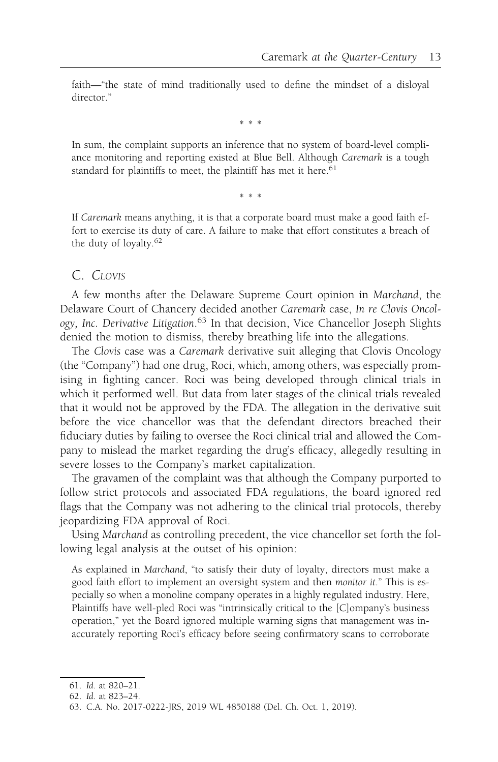faith—"the state of mind traditionally used to define the mindset of a disloyal director."

\*\*\*

In sum, the complaint supports an inference that no system of board-level compliance monitoring and reporting existed at Blue Bell. Although Caremark is a tough standard for plaintiffs to meet, the plaintiff has met it here.<sup>61</sup>

\*\*\*

If Caremark means anything, it is that a corporate board must make a good faith effort to exercise its duty of care. A failure to make that effort constitutes a breach of the duty of loyalty.<sup>62</sup>

### C. CLOVIS

A few months after the Delaware Supreme Court opinion in Marchand, the Delaware Court of Chancery decided another Caremark case, In re Clovis Oncology, Inc. Derivative Litigation.<sup>63</sup> In that decision, Vice Chancellor Joseph Slights denied the motion to dismiss, thereby breathing life into the allegations.

The Clovis case was a Caremark derivative suit alleging that Clovis Oncology (the "Company") had one drug, Roci, which, among others, was especially promising in fighting cancer. Roci was being developed through clinical trials in which it performed well. But data from later stages of the clinical trials revealed that it would not be approved by the FDA. The allegation in the derivative suit before the vice chancellor was that the defendant directors breached their fiduciary duties by failing to oversee the Roci clinical trial and allowed the Company to mislead the market regarding the drug's efficacy, allegedly resulting in severe losses to the Company's market capitalization.

The gravamen of the complaint was that although the Company purported to follow strict protocols and associated FDA regulations, the board ignored red flags that the Company was not adhering to the clinical trial protocols, thereby jeopardizing FDA approval of Roci.

Using Marchand as controlling precedent, the vice chancellor set forth the following legal analysis at the outset of his opinion:

As explained in Marchand, "to satisfy their duty of loyalty, directors must make a good faith effort to implement an oversight system and then monitor it." This is especially so when a monoline company operates in a highly regulated industry. Here, Plaintiffs have well-pled Roci was "intrinsically critical to the [C]ompany's business operation," yet the Board ignored multiple warning signs that management was inaccurately reporting Roci's efficacy before seeing confirmatory scans to corroborate

<sup>61.</sup> Id. at 820–21.

<sup>62.</sup> Id. at 823–24.

<sup>63.</sup> C.A. No. 2017-0222-JRS, 2019 WL 4850188 (Del. Ch. Oct. 1, 2019).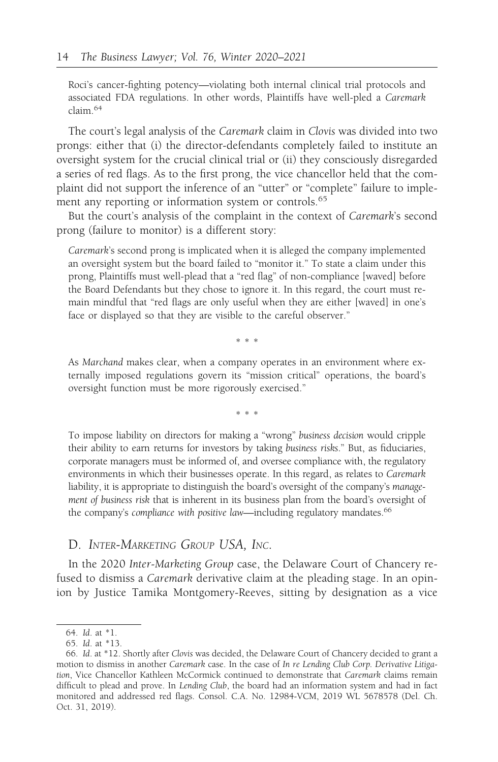Roci's cancer-fighting potency—violating both internal clinical trial protocols and associated FDA regulations. In other words, Plaintiffs have well-pled a Caremark claim.<sup>64</sup>

The court's legal analysis of the Caremark claim in Clovis was divided into two prongs: either that (i) the director-defendants completely failed to institute an oversight system for the crucial clinical trial or (ii) they consciously disregarded a series of red flags. As to the first prong, the vice chancellor held that the complaint did not support the inference of an "utter" or "complete" failure to implement any reporting or information system or controls.<sup>65</sup>

But the court's analysis of the complaint in the context of Caremark's second prong (failure to monitor) is a different story:

Caremark's second prong is implicated when it is alleged the company implemented an oversight system but the board failed to "monitor it." To state a claim under this prong, Plaintiffs must well-plead that a "red flag" of non-compliance [waved] before the Board Defendants but they chose to ignore it. In this regard, the court must remain mindful that "red flags are only useful when they are either [waved] in one's face or displayed so that they are visible to the careful observer."

\*\*\*

As Marchand makes clear, when a company operates in an environment where externally imposed regulations govern its "mission critical" operations, the board's oversight function must be more rigorously exercised."

\*\*\*

To impose liability on directors for making a "wrong" business decision would cripple their ability to earn returns for investors by taking business risks." But, as fiduciaries, corporate managers must be informed of, and oversee compliance with, the regulatory environments in which their businesses operate. In this regard, as relates to Caremark liability, it is appropriate to distinguish the board's oversight of the company's management of business risk that is inherent in its business plan from the board's oversight of the company's compliance with positive law—including regulatory mandates.<sup>66</sup>

#### D. INTER-MARKETING GROUP USA, INC.

In the 2020 Inter-Marketing Group case, the Delaware Court of Chancery refused to dismiss a Caremark derivative claim at the pleading stage. In an opinion by Justice Tamika Montgomery-Reeves, sitting by designation as a vice

<sup>64.</sup> Id. at \*1.

<sup>65.</sup> Id. at \*13.

<sup>66.</sup> Id. at \*12. Shortly after Clovis was decided, the Delaware Court of Chancery decided to grant a motion to dismiss in another Caremark case. In the case of In re Lending Club Corp. Derivative Litigation, Vice Chancellor Kathleen McCormick continued to demonstrate that Caremark claims remain difficult to plead and prove. In Lending Club, the board had an information system and had in fact monitored and addressed red flags. Consol. C.A. No. 12984-VCM, 2019 WL 5678578 (Del. Ch. Oct. 31, 2019).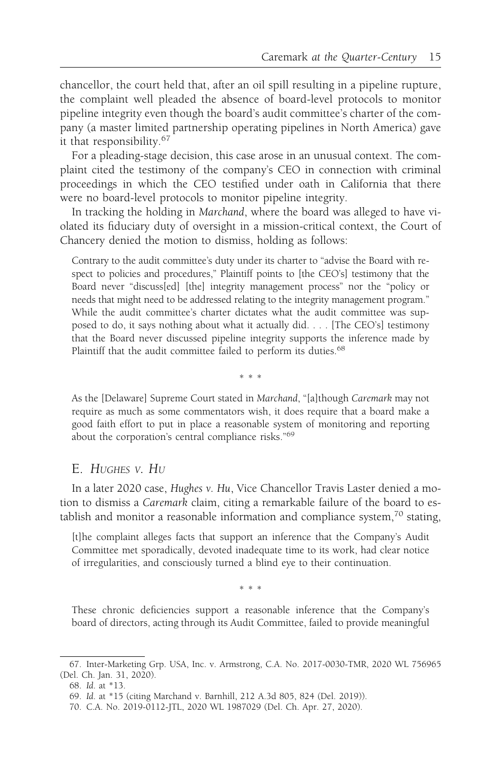chancellor, the court held that, after an oil spill resulting in a pipeline rupture, the complaint well pleaded the absence of board-level protocols to monitor pipeline integrity even though the board's audit committee's charter of the company (a master limited partnership operating pipelines in North America) gave it that responsibility.<sup>67</sup>

For a pleading-stage decision, this case arose in an unusual context. The complaint cited the testimony of the company's CEO in connection with criminal proceedings in which the CEO testified under oath in California that there were no board-level protocols to monitor pipeline integrity.

In tracking the holding in Marchand, where the board was alleged to have violated its fiduciary duty of oversight in a mission-critical context, the Court of Chancery denied the motion to dismiss, holding as follows:

Contrary to the audit committee's duty under its charter to "advise the Board with respect to policies and procedures," Plaintiff points to [the CEO's] testimony that the Board never "discuss[ed] [the] integrity management process" nor the "policy or needs that might need to be addressed relating to the integrity management program." While the audit committee's charter dictates what the audit committee was supposed to do, it says nothing about what it actually did. . . . [The CEO's] testimony that the Board never discussed pipeline integrity supports the inference made by Plaintiff that the audit committee failed to perform its duties.<sup>68</sup>

As the [Delaware] Supreme Court stated in Marchand, "[a]though Caremark may not require as much as some commentators wish, it does require that a board make a good faith effort to put in place a reasonable system of monitoring and reporting about the corporation's central compliance risks."69

\*\*\*

#### E. HUGHES V. HU

In a later 2020 case, Hughes v. Hu, Vice Chancellor Travis Laster denied a motion to dismiss a Caremark claim, citing a remarkable failure of the board to establish and monitor a reasonable information and compliance system,<sup>70</sup> stating,

[t]he complaint alleges facts that support an inference that the Company's Audit Committee met sporadically, devoted inadequate time to its work, had clear notice of irregularities, and consciously turned a blind eye to their continuation.

\*\*\*

These chronic deficiencies support a reasonable inference that the Company's board of directors, acting through its Audit Committee, failed to provide meaningful

<sup>67.</sup> Inter-Marketing Grp. USA, Inc. v. Armstrong, C.A. No. 2017-0030-TMR, 2020 WL 756965 (Del. Ch. Jan. 31, 2020).

<sup>68.</sup> Id. at \*13.

<sup>69.</sup> Id. at \*15 (citing Marchand v. Barnhill, 212 A.3d 805, 824 (Del. 2019)).

<sup>70.</sup> C.A. No. 2019-0112-JTL, 2020 WL 1987029 (Del. Ch. Apr. 27, 2020).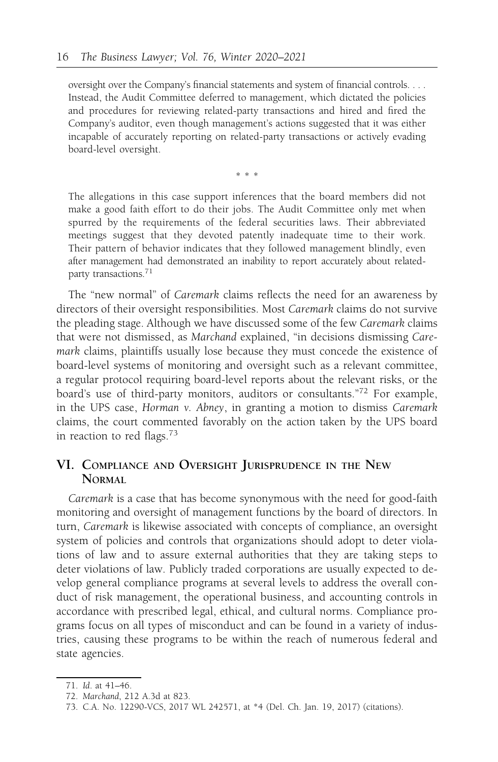oversight over the Company's financial statements and system of financial controls. . . . Instead, the Audit Committee deferred to management, which dictated the policies and procedures for reviewing related-party transactions and hired and fired the Company's auditor, even though management's actions suggested that it was either incapable of accurately reporting on related-party transactions or actively evading board-level oversight.

\*\*\*

The allegations in this case support inferences that the board members did not make a good faith effort to do their jobs. The Audit Committee only met when spurred by the requirements of the federal securities laws. Their abbreviated meetings suggest that they devoted patently inadequate time to their work. Their pattern of behavior indicates that they followed management blindly, even after management had demonstrated an inability to report accurately about relatedparty transactions.<sup>71</sup>

The "new normal" of Caremark claims reflects the need for an awareness by directors of their oversight responsibilities. Most Caremark claims do not survive the pleading stage. Although we have discussed some of the few Caremark claims that were not dismissed, as Marchand explained, "in decisions dismissing Caremark claims, plaintiffs usually lose because they must concede the existence of board-level systems of monitoring and oversight such as a relevant committee, a regular protocol requiring board-level reports about the relevant risks, or the board's use of third-party monitors, auditors or consultants."<sup>72</sup> For example, in the UPS case, Horman v. Abney, in granting a motion to dismiss Caremark claims, the court commented favorably on the action taken by the UPS board in reaction to red flags.<sup>73</sup>

### VI. COMPLIANCE AND OVERSIGHT JURISPRUDENCE IN THE NEW NORMAL

Caremark is a case that has become synonymous with the need for good-faith monitoring and oversight of management functions by the board of directors. In turn, Caremark is likewise associated with concepts of compliance, an oversight system of policies and controls that organizations should adopt to deter violations of law and to assure external authorities that they are taking steps to deter violations of law. Publicly traded corporations are usually expected to develop general compliance programs at several levels to address the overall conduct of risk management, the operational business, and accounting controls in accordance with prescribed legal, ethical, and cultural norms. Compliance programs focus on all types of misconduct and can be found in a variety of industries, causing these programs to be within the reach of numerous federal and state agencies.

<sup>71.</sup> Id. at 41–46.

<sup>72.</sup> Marchand, 212 A.3d at 823.

<sup>73.</sup> C.A. No. 12290-VCS, 2017 WL 242571, at \*4 (Del. Ch. Jan. 19, 2017) (citations).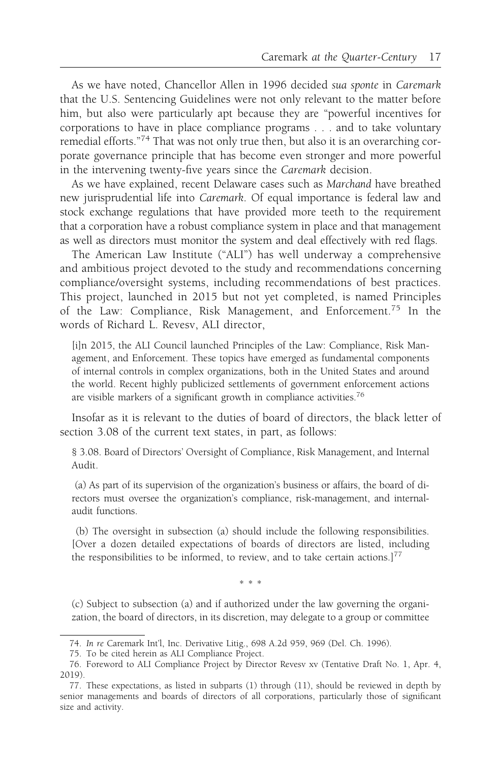As we have noted, Chancellor Allen in 1996 decided sua sponte in Caremark that the U.S. Sentencing Guidelines were not only relevant to the matter before him, but also were particularly apt because they are "powerful incentives for corporations to have in place compliance programs . . . and to take voluntary remedial efforts."<sup>74</sup> That was not only true then, but also it is an overarching corporate governance principle that has become even stronger and more powerful in the intervening twenty-five years since the Caremark decision.

As we have explained, recent Delaware cases such as Marchand have breathed new jurisprudential life into Caremark. Of equal importance is federal law and stock exchange regulations that have provided more teeth to the requirement that a corporation have a robust compliance system in place and that management as well as directors must monitor the system and deal effectively with red flags.

The American Law Institute ("ALI") has well underway a comprehensive and ambitious project devoted to the study and recommendations concerning compliance/oversight systems, including recommendations of best practices. This project, launched in 2015 but not yet completed, is named Principles of the Law: Compliance, Risk Management, and Enforcement.<sup>75</sup> In the words of Richard L. Revesv, ALI director,

[i]n 2015, the ALI Council launched Principles of the Law: Compliance, Risk Management, and Enforcement. These topics have emerged as fundamental components of internal controls in complex organizations, both in the United States and around the world. Recent highly publicized settlements of government enforcement actions are visible markers of a significant growth in compliance activities.76

Insofar as it is relevant to the duties of board of directors, the black letter of section 3.08 of the current text states, in part, as follows:

§ 3.08. Board of Directors' Oversight of Compliance, Risk Management, and Internal Audit.

(a) As part of its supervision of the organization's business or affairs, the board of directors must oversee the organization's compliance, risk-management, and internalaudit functions.

(b) The oversight in subsection (a) should include the following responsibilities. [Over a dozen detailed expectations of boards of directors are listed, including the responsibilities to be informed, to review, and to take certain actions.]<sup>77</sup>

\*\*\*

(c) Subject to subsection (a) and if authorized under the law governing the organization, the board of directors, in its discretion, may delegate to a group or committee

<sup>74.</sup> In re Caremark Int'l, Inc. Derivative Litig., 698 A.2d 959, 969 (Del. Ch. 1996).

<sup>75.</sup> To be cited herein as ALI Compliance Project.

<sup>76.</sup> Foreword to ALI Compliance Project by Director Revesv xv (Tentative Draft No. 1, Apr. 4, 2019).

<sup>77.</sup> These expectations, as listed in subparts (1) through (11), should be reviewed in depth by senior managements and boards of directors of all corporations, particularly those of significant size and activity.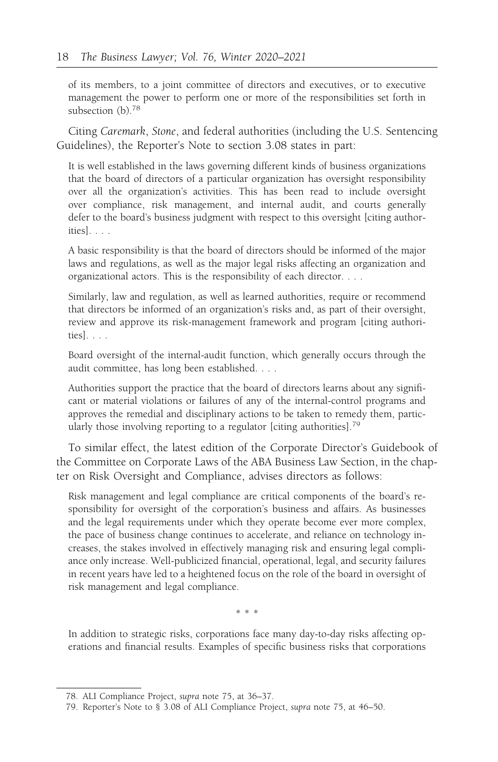of its members, to a joint committee of directors and executives, or to executive management the power to perform one or more of the responsibilities set forth in subsection (b).<sup>78</sup>

Citing Caremark, Stone, and federal authorities (including the U.S. Sentencing Guidelines), the Reporter's Note to section 3.08 states in part:

It is well established in the laws governing different kinds of business organizations that the board of directors of a particular organization has oversight responsibility over all the organization's activities. This has been read to include oversight over compliance, risk management, and internal audit, and courts generally defer to the board's business judgment with respect to this oversight [citing authorities]. . . .

A basic responsibility is that the board of directors should be informed of the major laws and regulations, as well as the major legal risks affecting an organization and organizational actors. This is the responsibility of each director. . . .

Similarly, law and regulation, as well as learned authorities, require or recommend that directors be informed of an organization's risks and, as part of their oversight, review and approve its risk-management framework and program [citing authorities]. . . .

Board oversight of the internal-audit function, which generally occurs through the audit committee, has long been established. . . .

Authorities support the practice that the board of directors learns about any significant or material violations or failures of any of the internal-control programs and approves the remedial and disciplinary actions to be taken to remedy them, particularly those involving reporting to a regulator [citing authorities].<sup>79</sup>

To similar effect, the latest edition of the Corporate Director's Guidebook of the Committee on Corporate Laws of the ABA Business Law Section, in the chapter on Risk Oversight and Compliance, advises directors as follows:

Risk management and legal compliance are critical components of the board's responsibility for oversight of the corporation's business and affairs. As businesses and the legal requirements under which they operate become ever more complex, the pace of business change continues to accelerate, and reliance on technology increases, the stakes involved in effectively managing risk and ensuring legal compliance only increase. Well-publicized financial, operational, legal, and security failures in recent years have led to a heightened focus on the role of the board in oversight of risk management and legal compliance.

\*\*\*

In addition to strategic risks, corporations face many day-to-day risks affecting operations and financial results. Examples of specific business risks that corporations

<sup>78.</sup> ALI Compliance Project, supra note 75, at 36–37.

<sup>79.</sup> Reporter's Note to § 3.08 of ALI Compliance Project, supra note 75, at 46–50.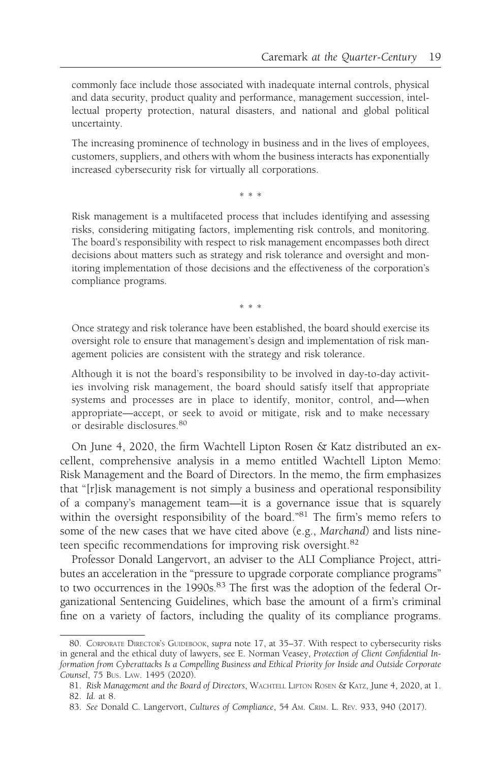commonly face include those associated with inadequate internal controls, physical and data security, product quality and performance, management succession, intellectual property protection, natural disasters, and national and global political uncertainty.

The increasing prominence of technology in business and in the lives of employees, customers, suppliers, and others with whom the business interacts has exponentially increased cybersecurity risk for virtually all corporations.

\*\*\*

Risk management is a multifaceted process that includes identifying and assessing risks, considering mitigating factors, implementing risk controls, and monitoring. The board's responsibility with respect to risk management encompasses both direct decisions about matters such as strategy and risk tolerance and oversight and monitoring implementation of those decisions and the effectiveness of the corporation's compliance programs.

\*\*\*

Once strategy and risk tolerance have been established, the board should exercise its oversight role to ensure that management's design and implementation of risk management policies are consistent with the strategy and risk tolerance.

Although it is not the board's responsibility to be involved in day-to-day activities involving risk management, the board should satisfy itself that appropriate systems and processes are in place to identify, monitor, control, and—when appropriate—accept, or seek to avoid or mitigate, risk and to make necessary or desirable disclosures.<sup>80</sup>

On June 4, 2020, the firm Wachtell Lipton Rosen & Katz distributed an excellent, comprehensive analysis in a memo entitled Wachtell Lipton Memo: Risk Management and the Board of Directors. In the memo, the firm emphasizes that "[r]isk management is not simply a business and operational responsibility of a company's management team—it is a governance issue that is squarely within the oversight responsibility of the board."<sup>81</sup> The firm's memo refers to some of the new cases that we have cited above (e.g., Marchand) and lists nineteen specific recommendations for improving risk oversight.<sup>82</sup>

Professor Donald Langervort, an adviser to the ALI Compliance Project, attributes an acceleration in the "pressure to upgrade corporate compliance programs" to two occurrences in the 1990s.<sup>83</sup> The first was the adoption of the federal Organizational Sentencing Guidelines, which base the amount of a firm's criminal fine on a variety of factors, including the quality of its compliance programs.

<sup>80.</sup> CORPORATE DIRECTOR's GUIDEBOOK, supra note 17, at 35-37. With respect to cybersecurity risks in general and the ethical duty of lawyers, see E. Norman Veasey, Protection of Client Confidential Information from Cyberattacks Is a Compelling Business and Ethical Priority for Inside and Outside Corporate Counsel, 75 BUS. LAW. 1495 (2020).

<sup>81.</sup> Risk Management and the Board of Directors, WACHTELL LIPTON ROSEN & KATZ, June 4, 2020, at 1. 82. Id. at 8.

<sup>83.</sup> See Donald C. Langervort, Cultures of Compliance, 54 AM. CRIM. L. REV. 933, 940 (2017).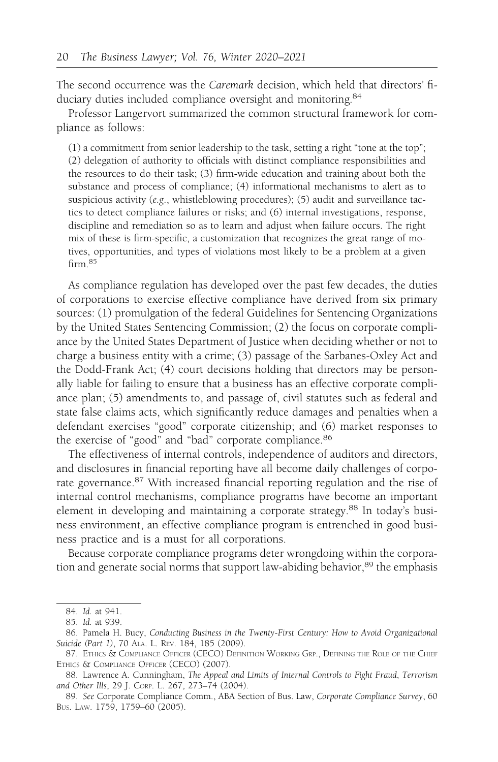The second occurrence was the Caremark decision, which held that directors' fiduciary duties included compliance oversight and monitoring.<sup>84</sup>

Professor Langervort summarized the common structural framework for compliance as follows:

(1) a commitment from senior leadership to the task, setting a right "tone at the top"; (2) delegation of authority to officials with distinct compliance responsibilities and the resources to do their task; (3) firm-wide education and training about both the substance and process of compliance; (4) informational mechanisms to alert as to suspicious activity (e.g., whistleblowing procedures); (5) audit and surveillance tactics to detect compliance failures or risks; and (6) internal investigations, response, discipline and remediation so as to learn and adjust when failure occurs. The right mix of these is firm-specific, a customization that recognizes the great range of motives, opportunities, and types of violations most likely to be a problem at a given firm.<sup>85</sup>

As compliance regulation has developed over the past few decades, the duties of corporations to exercise effective compliance have derived from six primary sources: (1) promulgation of the federal Guidelines for Sentencing Organizations by the United States Sentencing Commission; (2) the focus on corporate compliance by the United States Department of Justice when deciding whether or not to charge a business entity with a crime; (3) passage of the Sarbanes-Oxley Act and the Dodd-Frank Act; (4) court decisions holding that directors may be personally liable for failing to ensure that a business has an effective corporate compliance plan; (5) amendments to, and passage of, civil statutes such as federal and state false claims acts, which significantly reduce damages and penalties when a defendant exercises "good" corporate citizenship; and (6) market responses to the exercise of "good" and "bad" corporate compliance.<sup>86</sup>

The effectiveness of internal controls, independence of auditors and directors, and disclosures in financial reporting have all become daily challenges of corporate governance.<sup>87</sup> With increased financial reporting regulation and the rise of internal control mechanisms, compliance programs have become an important element in developing and maintaining a corporate strategy.<sup>88</sup> In today's business environment, an effective compliance program is entrenched in good business practice and is a must for all corporations.

Because corporate compliance programs deter wrongdoing within the corporation and generate social norms that support law-abiding behavior,<sup>89</sup> the emphasis

<sup>84.</sup> Id. at 941.

<sup>85.</sup> Id. at 939.

<sup>86.</sup> Pamela H. Bucy, Conducting Business in the Twenty-First Century: How to Avoid Organizational Suicide (Part 1), 70 ALA. L. REV. 184, 185 (2009).

<sup>87.</sup> ETHICS & COMPLIANCE OFFICER (CECO) DEFINITION WORKING GRP., DEFINING THE ROLE OF THE CHIEF ETHICS & COMPLIANCE OFFICER (CECO) (2007).

<sup>88.</sup> Lawrence A. Cunningham, The Appeal and Limits of Internal Controls to Fight Fraud, Terrorism and Other Ills, 29 J. CORP. L. 267, 273–74 (2004).

<sup>89.</sup> See Corporate Compliance Comm., ABA Section of Bus. Law, Corporate Compliance Survey, 60 BUS. LAW. 1759, 1759–60 (2005).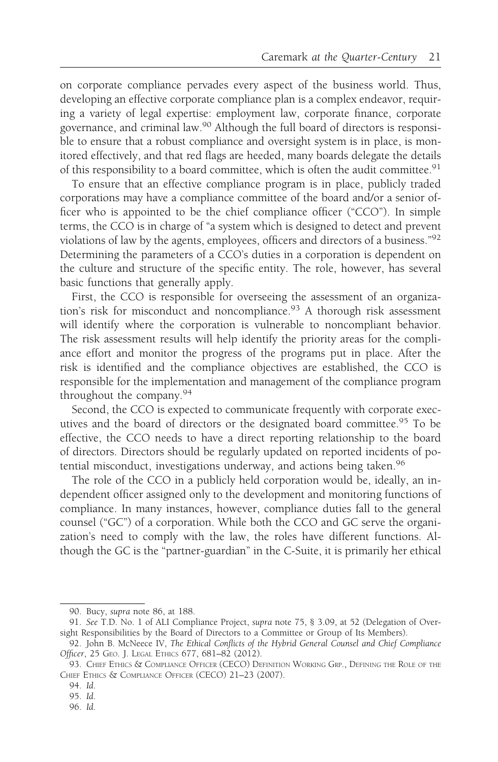on corporate compliance pervades every aspect of the business world. Thus, developing an effective corporate compliance plan is a complex endeavor, requiring a variety of legal expertise: employment law, corporate finance, corporate governance, and criminal law.90 Although the full board of directors is responsible to ensure that a robust compliance and oversight system is in place, is monitored effectively, and that red flags are heeded, many boards delegate the details of this responsibility to a board committee, which is often the audit committee.<sup>91</sup>

To ensure that an effective compliance program is in place, publicly traded corporations may have a compliance committee of the board and/or a senior officer who is appointed to be the chief compliance officer ("CCO"). In simple terms, the CCO is in charge of "a system which is designed to detect and prevent violations of law by the agents, employees, officers and directors of a business."<sup>92</sup> Determining the parameters of a CCO's duties in a corporation is dependent on the culture and structure of the specific entity. The role, however, has several basic functions that generally apply.

First, the CCO is responsible for overseeing the assessment of an organization's risk for misconduct and noncompliance.<sup>93</sup> A thorough risk assessment will identify where the corporation is vulnerable to noncompliant behavior. The risk assessment results will help identify the priority areas for the compliance effort and monitor the progress of the programs put in place. After the risk is identified and the compliance objectives are established, the CCO is responsible for the implementation and management of the compliance program throughout the company.<sup>94</sup>

Second, the CCO is expected to communicate frequently with corporate executives and the board of directors or the designated board committee.<sup>95</sup> To be effective, the CCO needs to have a direct reporting relationship to the board of directors. Directors should be regularly updated on reported incidents of potential misconduct, investigations underway, and actions being taken.<sup>96</sup>

The role of the CCO in a publicly held corporation would be, ideally, an independent officer assigned only to the development and monitoring functions of compliance. In many instances, however, compliance duties fall to the general counsel ("GC") of a corporation. While both the CCO and GC serve the organization's need to comply with the law, the roles have different functions. Although the GC is the "partner-guardian" in the C-Suite, it is primarily her ethical

<sup>90.</sup> Bucy, supra note 86, at 188.

<sup>91.</sup> See T.D. No. 1 of ALI Compliance Project, supra note 75, § 3.09, at 52 (Delegation of Oversight Responsibilities by the Board of Directors to a Committee or Group of Its Members).

<sup>92.</sup> John B. McNeece IV, The Ethical Conflicts of the Hybrid General Counsel and Chief Compliance Officer, 25 GEO. J. LEGAL ETHICS 677, 681–82 (2012).

<sup>93.</sup> CHIEF ETHICS & COMPLIANCE OFFICER (CECO) DEFINITION WORKING GRP., DEFINING THE ROLE OF THE CHIEF ETHICS & COMPLIANCE OFFICER (CECO) 21–23 (2007).

<sup>94.</sup> Id.

<sup>95.</sup> Id.

<sup>96.</sup> Id.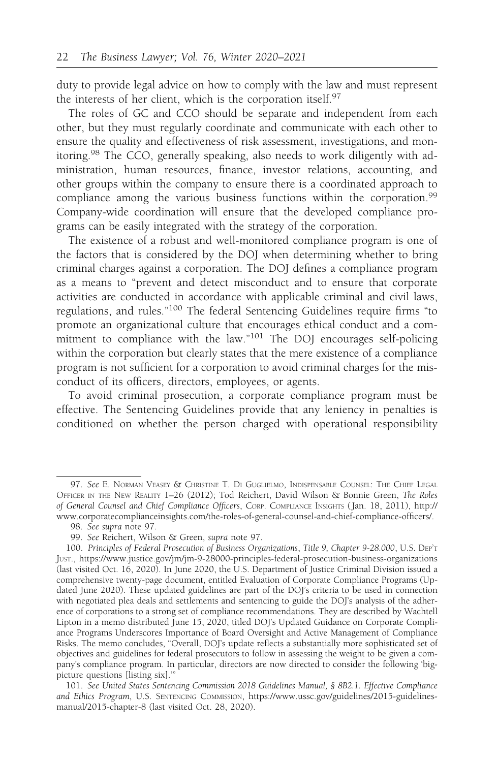duty to provide legal advice on how to comply with the law and must represent the interests of her client, which is the corporation itself.97

The roles of GC and CCO should be separate and independent from each other, but they must regularly coordinate and communicate with each other to ensure the quality and effectiveness of risk assessment, investigations, and monitoring.98 The CCO, generally speaking, also needs to work diligently with administration, human resources, finance, investor relations, accounting, and other groups within the company to ensure there is a coordinated approach to compliance among the various business functions within the corporation.<sup>99</sup> Company-wide coordination will ensure that the developed compliance programs can be easily integrated with the strategy of the corporation.

The existence of a robust and well-monitored compliance program is one of the factors that is considered by the DOJ when determining whether to bring criminal charges against a corporation. The DOJ defines a compliance program as a means to "prevent and detect misconduct and to ensure that corporate activities are conducted in accordance with applicable criminal and civil laws, regulations, and rules."<sup>100</sup> The federal Sentencing Guidelines require firms "to promote an organizational culture that encourages ethical conduct and a commitment to compliance with the law."<sup>101</sup> The DOJ encourages self-policing within the corporation but clearly states that the mere existence of a compliance program is not sufficient for a corporation to avoid criminal charges for the misconduct of its officers, directors, employees, or agents.

To avoid criminal prosecution, a corporate compliance program must be effective. The Sentencing Guidelines provide that any leniency in penalties is conditioned on whether the person charged with operational responsibility

<sup>97.</sup> See E. NORMAN VEASEY & CHRISTINE T. DI GUGLIELMO, INDISPENSABLE COUNSEL: THE CHIEF LEGAL OFFICER IN THE NEW REALITY 1–26 (2012); Tod Reichert, David Wilson & Bonnie Green, The Roles of General Counsel and Chief Compliance Officers, CORP. COMPLIANCE INSIGHTS ( Jan. 18, 2011), http:// www.corporatecomplianceinsights.com/the-roles-of-general-counsel-and-chief-compliance-officers/.

<sup>98.</sup> See supra note 97.

<sup>99.</sup> See Reichert, Wilson & Green, supra note 97.

<sup>100.</sup> Principles of Federal Prosecution of Business Organizations, Title 9, Chapter 9-28.000, U.S. DEP'T JUST., https://www.justice.gov/jm/jm-9-28000-principles-federal-prosecution-business-organizations (last visited Oct. 16, 2020). In June 2020, the U.S. Department of Justice Criminal Division issued a comprehensive twenty-page document, entitled Evaluation of Corporate Compliance Programs (Updated June 2020). These updated guidelines are part of the DOJ's criteria to be used in connection with negotiated plea deals and settlements and sentencing to guide the DOJ's analysis of the adherence of corporations to a strong set of compliance recommendations. They are described by Wachtell Lipton in a memo distributed June 15, 2020, titled DOJ's Updated Guidance on Corporate Compliance Programs Underscores Importance of Board Oversight and Active Management of Compliance Risks. The memo concludes, "Overall, DOJ's update reflects a substantially more sophisticated set of objectives and guidelines for federal prosecutors to follow in assessing the weight to be given a company's compliance program. In particular, directors are now directed to consider the following 'bigpicture questions [listing six].'"

<sup>101.</sup> See United States Sentencing Commission 2018 Guidelines Manual, § 8B2.1. Effective Compliance and Ethics Program, U.S. SENTENCING COMMISSION, https://www.ussc.gov/guidelines/2015-guidelinesmanual/2015-chapter-8 (last visited Oct. 28, 2020).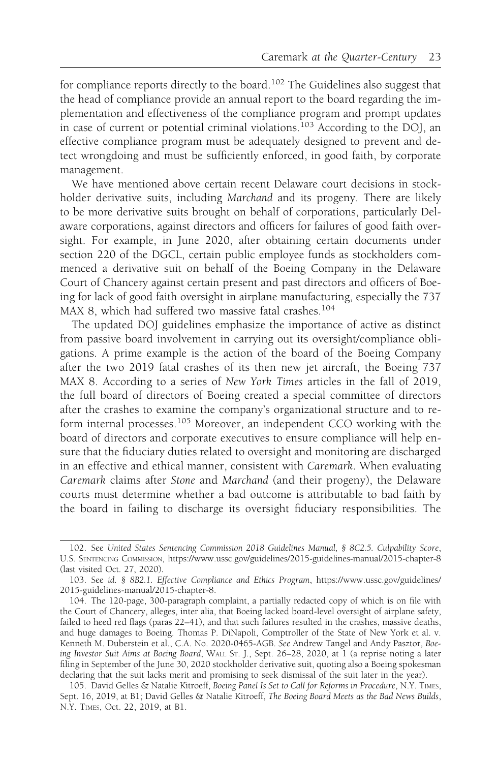for compliance reports directly to the board.<sup>102</sup> The Guidelines also suggest that the head of compliance provide an annual report to the board regarding the implementation and effectiveness of the compliance program and prompt updates in case of current or potential criminal violations.<sup>103</sup> According to the DOJ, an effective compliance program must be adequately designed to prevent and detect wrongdoing and must be sufficiently enforced, in good faith, by corporate management.

We have mentioned above certain recent Delaware court decisions in stockholder derivative suits, including Marchand and its progeny. There are likely to be more derivative suits brought on behalf of corporations, particularly Delaware corporations, against directors and officers for failures of good faith oversight. For example, in June 2020, after obtaining certain documents under section 220 of the DGCL, certain public employee funds as stockholders commenced a derivative suit on behalf of the Boeing Company in the Delaware Court of Chancery against certain present and past directors and officers of Boeing for lack of good faith oversight in airplane manufacturing, especially the 737 MAX 8, which had suffered two massive fatal crashes.<sup>104</sup>

The updated DOJ guidelines emphasize the importance of active as distinct from passive board involvement in carrying out its oversight/compliance obligations. A prime example is the action of the board of the Boeing Company after the two 2019 fatal crashes of its then new jet aircraft, the Boeing 737 MAX 8. According to a series of New York Times articles in the fall of 2019, the full board of directors of Boeing created a special committee of directors after the crashes to examine the company's organizational structure and to reform internal processes.<sup>105</sup> Moreover, an independent CCO working with the board of directors and corporate executives to ensure compliance will help ensure that the fiduciary duties related to oversight and monitoring are discharged in an effective and ethical manner, consistent with Caremark. When evaluating Caremark claims after Stone and Marchand (and their progeny), the Delaware courts must determine whether a bad outcome is attributable to bad faith by the board in failing to discharge its oversight fiduciary responsibilities. The

<sup>102.</sup> See United States Sentencing Commission 2018 Guidelines Manual, § 8C2.5. Culpability Score, U.S. SENTENCING COMMISSION, https://www.ussc.gov/guidelines/2015-guidelines-manual/2015-chapter-8 (last visited Oct. 27, 2020).

<sup>103.</sup> See id. § 8B2.1. Effective Compliance and Ethics Program, https://www.ussc.gov/guidelines/ 2015-guidelines-manual/2015-chapter-8.

<sup>104.</sup> The 120-page, 300-paragraph complaint, a partially redacted copy of which is on file with the Court of Chancery, alleges, inter alia, that Boeing lacked board-level oversight of airplane safety, failed to heed red flags (paras 22–41), and that such failures resulted in the crashes, massive deaths, and huge damages to Boeing. Thomas P. DiNapoli, Comptroller of the State of New York et al. v. Kenneth M. Duberstein et al., C.A. No. 2020-0465-AGB. See Andrew Tangel and Andy Pasztor, Boeing Investor Suit Aims at Boeing Board, WALL ST. J., Sept. 26–28, 2020, at 1 (a reprise noting a later filing in September of the June 30, 2020 stockholder derivative suit, quoting also a Boeing spokesman declaring that the suit lacks merit and promising to seek dismissal of the suit later in the year).

<sup>105.</sup> David Gelles & Natalie Kitroeff, Boeing Panel Is Set to Call for Reforms in Procedure, N.Y. TIMES, Sept. 16, 2019, at B1; David Gelles & Natalie Kitroeff, The Boeing Board Meets as the Bad News Builds, N.Y. TIMES, Oct. 22, 2019, at B1.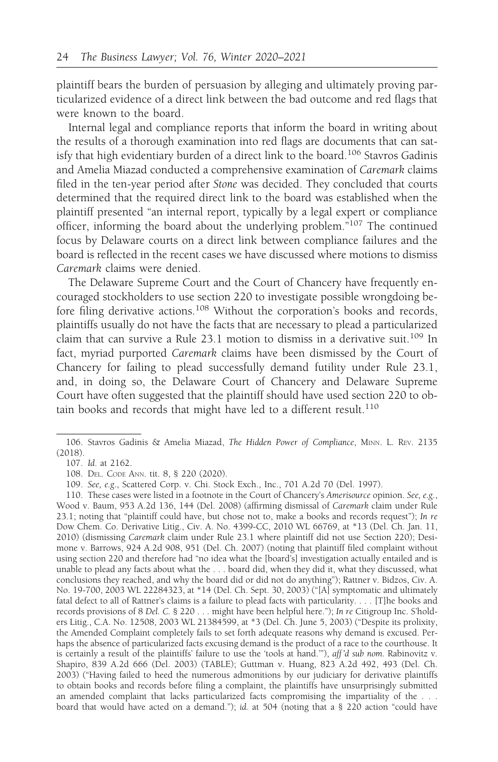plaintiff bears the burden of persuasion by alleging and ultimately proving particularized evidence of a direct link between the bad outcome and red flags that were known to the board.

Internal legal and compliance reports that inform the board in writing about the results of a thorough examination into red flags are documents that can satisfy that high evidentiary burden of a direct link to the board.<sup>106</sup> Stavros Gadinis and Amelia Miazad conducted a comprehensive examination of Caremark claims filed in the ten-year period after Stone was decided. They concluded that courts determined that the required direct link to the board was established when the plaintiff presented "an internal report, typically by a legal expert or compliance officer, informing the board about the underlying problem."107 The continued focus by Delaware courts on a direct link between compliance failures and the board is reflected in the recent cases we have discussed where motions to dismiss Caremark claims were denied.

The Delaware Supreme Court and the Court of Chancery have frequently encouraged stockholders to use section 220 to investigate possible wrongdoing before filing derivative actions.<sup>108</sup> Without the corporation's books and records, plaintiffs usually do not have the facts that are necessary to plead a particularized claim that can survive a Rule  $23.1$  motion to dismiss in a derivative suit.<sup>109</sup> In fact, myriad purported Caremark claims have been dismissed by the Court of Chancery for failing to plead successfully demand futility under Rule 23.1, and, in doing so, the Delaware Court of Chancery and Delaware Supreme Court have often suggested that the plaintiff should have used section 220 to obtain books and records that might have led to a different result.<sup>110</sup>

<sup>106.</sup> Stavros Gadinis & Amelia Miazad, The Hidden Power of Compliance, MINN. L. REV. 2135 (2018).

<sup>107.</sup> Id. at 2162.

<sup>108.</sup> DEL. CODE ANN. tit. 8, § 220 (2020).

<sup>109.</sup> See, e.g., Scattered Corp. v. Chi. Stock Exch., Inc., 701 A.2d 70 (Del. 1997).

<sup>110.</sup> These cases were listed in a footnote in the Court of Chancery's Amerisource opinion. See, e.g., Wood v. Baum, 953 A.2d 136, 144 (Del. 2008) (affirming dismissal of Caremark claim under Rule 23.1; noting that "plaintiff could have, but chose not to, make a books and records request"); In re Dow Chem. Co. Derivative Litig., Civ. A. No. 4399-CC, 2010 WL 66769, at \*13 (Del. Ch. Jan. 11, 2010) (dismissing Caremark claim under Rule 23.1 where plaintiff did not use Section 220); Desimone v. Barrows, 924 A.2d 908, 951 (Del. Ch. 2007) (noting that plaintiff filed complaint without using section 220 and therefore had "no idea what the [board's] investigation actually entailed and is unable to plead any facts about what the . . . board did, when they did it, what they discussed, what conclusions they reached, and why the board did or did not do anything"); Rattner v. Bidzos, Civ. A. No. 19-700, 2003 WL 22284323, at \*14 (Del. Ch. Sept. 30, 2003) ("[A] symptomatic and ultimately fatal defect to all of Rattner's claims is a failure to plead facts with particularity. . . . [T]he books and records provisions of 8 Del. C. § 220 . . . might have been helpful here."); In re Citigroup Inc. S'holders Litig., C.A. No. 12508, 2003 WL 21384599, at \*3 (Del. Ch. June 5, 2003) ("Despite its prolixity, the Amended Complaint completely fails to set forth adequate reasons why demand is excused. Perhaps the absence of particularized facts excusing demand is the product of a race to the courthouse. It is certainly a result of the plaintiffs' failure to use the 'tools at hand.'"), aff 'd sub nom. Rabinovitz v. Shapiro, 839 A.2d 666 (Del. 2003) (TABLE); Guttman v. Huang, 823 A.2d 492, 493 (Del. Ch. 2003) ("Having failed to heed the numerous admonitions by our judiciary for derivative plaintiffs to obtain books and records before filing a complaint, the plaintiffs have unsurprisingly submitted an amended complaint that lacks particularized facts compromising the impartiality of the . . . board that would have acted on a demand."); id. at 504 (noting that a § 220 action "could have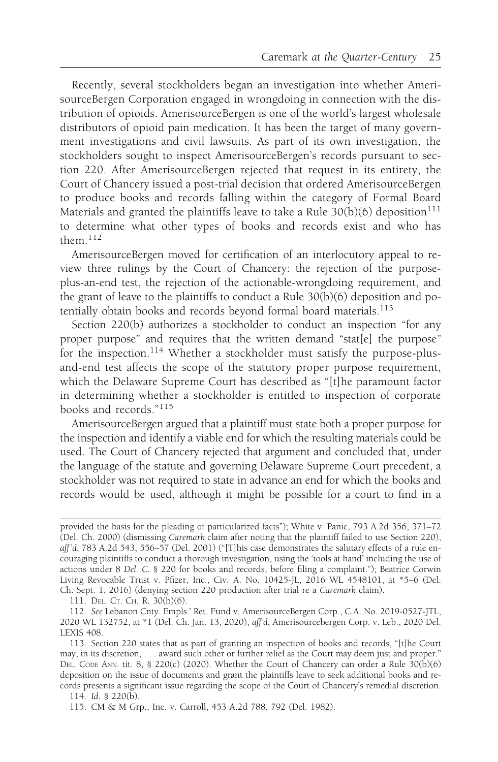Recently, several stockholders began an investigation into whether AmerisourceBergen Corporation engaged in wrongdoing in connection with the distribution of opioids. AmerisourceBergen is one of the world's largest wholesale distributors of opioid pain medication. It has been the target of many government investigations and civil lawsuits. As part of its own investigation, the stockholders sought to inspect AmerisourceBergen's records pursuant to section 220. After AmerisourceBergen rejected that request in its entirety, the Court of Chancery issued a post-trial decision that ordered AmerisourceBergen to produce books and records falling within the category of Formal Board Materials and granted the plaintiffs leave to take a Rule  $30(b)(6)$  deposition<sup>111</sup> to determine what other types of books and records exist and who has them.<sup>112</sup>

AmerisourceBergen moved for certification of an interlocutory appeal to review three rulings by the Court of Chancery: the rejection of the purposeplus-an-end test, the rejection of the actionable-wrongdoing requirement, and the grant of leave to the plaintiffs to conduct a Rule 30(b)(6) deposition and potentially obtain books and records beyond formal board materials.<sup>113</sup>

Section 220(b) authorizes a stockholder to conduct an inspection "for any proper purpose" and requires that the written demand "stat[e] the purpose" for the inspection.<sup>114</sup> Whether a stockholder must satisfy the purpose-plusand-end test affects the scope of the statutory proper purpose requirement, which the Delaware Supreme Court has described as "[t]he paramount factor in determining whether a stockholder is entitled to inspection of corporate books and records."<sup>115</sup>

AmerisourceBergen argued that a plaintiff must state both a proper purpose for the inspection and identify a viable end for which the resulting materials could be used. The Court of Chancery rejected that argument and concluded that, under the language of the statute and governing Delaware Supreme Court precedent, a stockholder was not required to state in advance an end for which the books and records would be used, although it might be possible for a court to find in a

111. DEL. CT. CH. R. 30(b)(6).

provided the basis for the pleading of particularized facts"); White v. Panic, 793 A.2d 356, 371–72 (Del. Ch. 2000) (dismissing Caremark claim after noting that the plaintiff failed to use Section 220), aff 'd, 783 A.2d 543, 556–57 (Del. 2001) ("[T]his case demonstrates the salutary effects of a rule encouraging plaintiffs to conduct a thorough investigation, using the 'tools at hand' including the use of actions under 8 Del. C. § 220 for books and records, before filing a complaint."); Beatrice Corwin Living Revocable Trust v. Pfizer, Inc., Civ. A. No. 10425-JL, 2016 WL 4548101, at \*5–6 (Del. Ch. Sept. 1, 2016) (denying section 220 production after trial re a Caremark claim).

<sup>112.</sup> See Lebanon Cnty. Empls.' Ret. Fund v. AmerisourceBergen Corp., C.A. No. 2019-0527-JTL, 2020 WL 132752, at \*1 (Del. Ch. Jan. 13, 2020), aff'd, Amerisourcebergen Corp. v. Leb., 2020 Del. LEXIS 408.

<sup>113.</sup> Section 220 states that as part of granting an inspection of books and records, "[t]he Court may, in its discretion, . . . award such other or further relief as the Court may deem just and proper." DEL. CODE ANN. tit. 8, § 220(c) (2020). Whether the Court of Chancery can order a Rule  $30(b)(6)$ deposition on the issue of documents and grant the plaintiffs leave to seek additional books and records presents a significant issue regarding the scope of the Court of Chancery's remedial discretion.

<sup>114.</sup> Id. § 220(b).

<sup>115.</sup> CM & M Grp., Inc. v. Carroll, 453 A.2d 788, 792 (Del. 1982).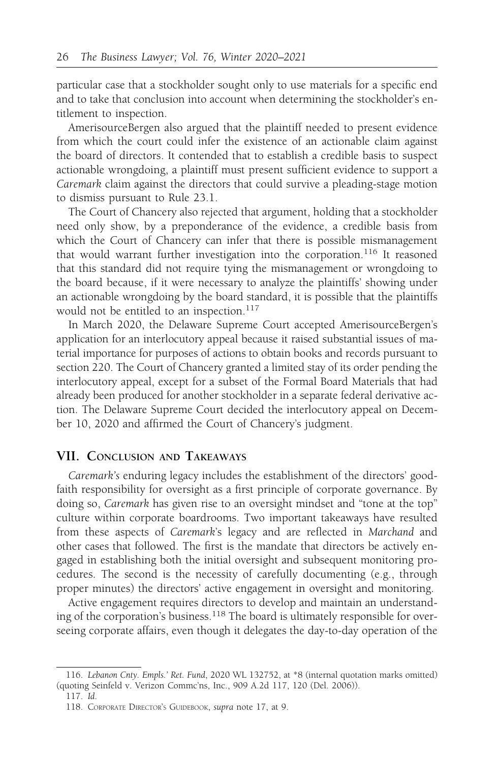particular case that a stockholder sought only to use materials for a specific end and to take that conclusion into account when determining the stockholder's entitlement to inspection.

AmerisourceBergen also argued that the plaintiff needed to present evidence from which the court could infer the existence of an actionable claim against the board of directors. It contended that to establish a credible basis to suspect actionable wrongdoing, a plaintiff must present sufficient evidence to support a Caremark claim against the directors that could survive a pleading-stage motion to dismiss pursuant to Rule 23.1.

The Court of Chancery also rejected that argument, holding that a stockholder need only show, by a preponderance of the evidence, a credible basis from which the Court of Chancery can infer that there is possible mismanagement that would warrant further investigation into the corporation.<sup>116</sup> It reasoned that this standard did not require tying the mismanagement or wrongdoing to the board because, if it were necessary to analyze the plaintiffs' showing under an actionable wrongdoing by the board standard, it is possible that the plaintiffs would not be entitled to an inspection.<sup>117</sup>

In March 2020, the Delaware Supreme Court accepted AmerisourceBergen's application for an interlocutory appeal because it raised substantial issues of material importance for purposes of actions to obtain books and records pursuant to section 220. The Court of Chancery granted a limited stay of its order pending the interlocutory appeal, except for a subset of the Formal Board Materials that had already been produced for another stockholder in a separate federal derivative action. The Delaware Supreme Court decided the interlocutory appeal on December 10, 2020 and affirmed the Court of Chancery's judgment.

### VII. CONCLUSION AND TAKEAWAYS

Caremark's enduring legacy includes the establishment of the directors' goodfaith responsibility for oversight as a first principle of corporate governance. By doing so, Caremark has given rise to an oversight mindset and "tone at the top" culture within corporate boardrooms. Two important takeaways have resulted from these aspects of Caremark's legacy and are reflected in Marchand and other cases that followed. The first is the mandate that directors be actively engaged in establishing both the initial oversight and subsequent monitoring procedures. The second is the necessity of carefully documenting (e.g., through proper minutes) the directors' active engagement in oversight and monitoring.

Active engagement requires directors to develop and maintain an understanding of the corporation's business.<sup>118</sup> The board is ultimately responsible for overseeing corporate affairs, even though it delegates the day-to-day operation of the

<sup>116.</sup> Lebanon Cnty. Empls.' Ret. Fund, 2020 WL 132752, at \*8 (internal quotation marks omitted) (quoting Seinfeld v. Verizon Commc'ns, Inc., 909 A.2d 117, 120 (Del. 2006)).

<sup>117.</sup> Id.

<sup>118.</sup> CORPORATE DIRECTOR'S GUIDEBOOK, supra note 17, at 9.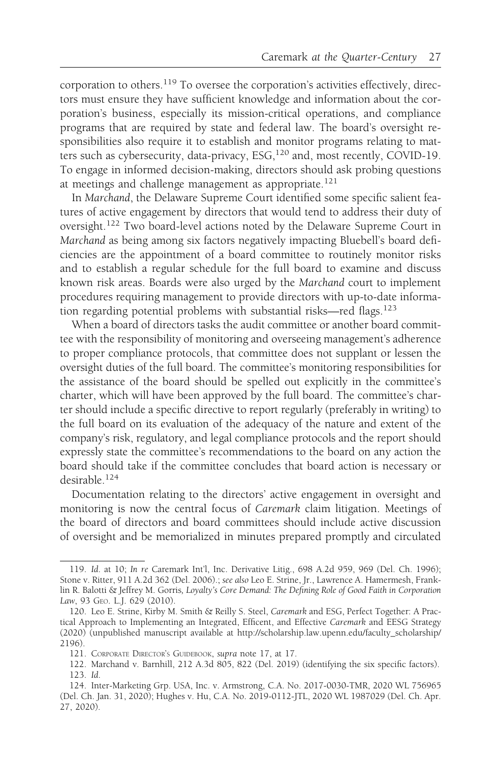corporation to others.<sup>119</sup> To oversee the corporation's activities effectively, directors must ensure they have sufficient knowledge and information about the corporation's business, especially its mission-critical operations, and compliance programs that are required by state and federal law. The board's oversight responsibilities also require it to establish and monitor programs relating to matters such as cybersecurity, data-privacy, ESG,<sup>120</sup> and, most recently, COVID-19. To engage in informed decision-making, directors should ask probing questions at meetings and challenge management as appropriate.<sup>121</sup>

In Marchand, the Delaware Supreme Court identified some specific salient features of active engagement by directors that would tend to address their duty of oversight.<sup>122</sup> Two board-level actions noted by the Delaware Supreme Court in Marchand as being among six factors negatively impacting Bluebell's board deficiencies are the appointment of a board committee to routinely monitor risks and to establish a regular schedule for the full board to examine and discuss known risk areas. Boards were also urged by the Marchand court to implement procedures requiring management to provide directors with up-to-date information regarding potential problems with substantial risks—red flags.<sup>123</sup>

When a board of directors tasks the audit committee or another board committee with the responsibility of monitoring and overseeing management's adherence to proper compliance protocols, that committee does not supplant or lessen the oversight duties of the full board. The committee's monitoring responsibilities for the assistance of the board should be spelled out explicitly in the committee's charter, which will have been approved by the full board. The committee's charter should include a specific directive to report regularly (preferably in writing) to the full board on its evaluation of the adequacy of the nature and extent of the company's risk, regulatory, and legal compliance protocols and the report should expressly state the committee's recommendations to the board on any action the board should take if the committee concludes that board action is necessary or desirable.124

Documentation relating to the directors' active engagement in oversight and monitoring is now the central focus of Caremark claim litigation. Meetings of the board of directors and board committees should include active discussion of oversight and be memorialized in minutes prepared promptly and circulated

<sup>119.</sup> Id. at 10; In re Caremark Int'l, Inc. Derivative Litig., 698 A.2d 959, 969 (Del. Ch. 1996); Stone v. Ritter, 911 A.2d 362 (Del. 2006).; see also Leo E. Strine, Jr., Lawrence A. Hamermesh, Franklin R. Balotti & Jeffrey M. Gorris, Loyalty's Core Demand: The Defining Role of Good Faith in Corporation Law, 93 GEO. L.J. 629 (2010).

<sup>120.</sup> Leo E. Strine, Kirby M. Smith & Reilly S. Steel, Caremark and ESG, Perfect Together: A Practical Approach to Implementing an Integrated, Efficent, and Effective Caremark and EESG Strategy (2020) (unpublished manuscript available at http://scholarship.law.upenn.edu/faculty\_scholarship/ 2196).

<sup>121.</sup> CORPORATE DIRECTOR'S GUIDEBOOK, supra note 17, at 17.

<sup>122.</sup> Marchand v. Barnhill, 212 A.3d 805, 822 (Del. 2019) (identifying the six specific factors). 123. Id.

<sup>124.</sup> Inter-Marketing Grp. USA, Inc. v. Armstrong, C.A. No. 2017-0030-TMR, 2020 WL 756965 (Del. Ch. Jan. 31, 2020); Hughes v. Hu, C.A. No. 2019-0112-JTL, 2020 WL 1987029 (Del. Ch. Apr. 27, 2020).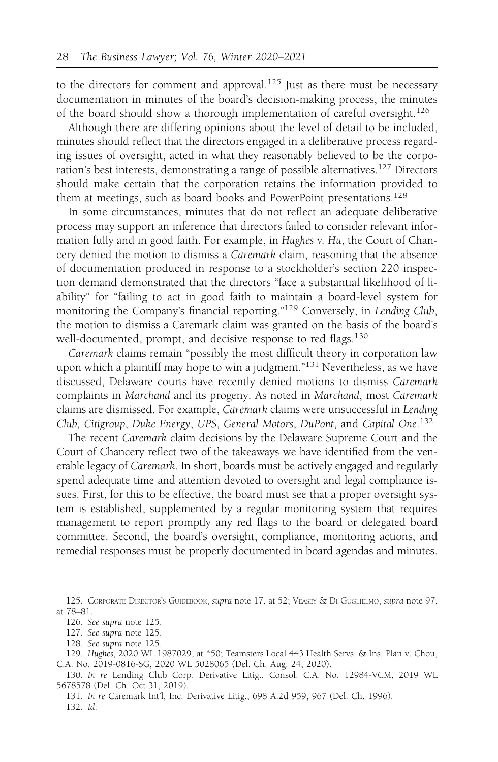to the directors for comment and approval.<sup>125</sup> Just as there must be necessary documentation in minutes of the board's decision-making process, the minutes of the board should show a thorough implementation of careful oversight.<sup>126</sup>

Although there are differing opinions about the level of detail to be included, minutes should reflect that the directors engaged in a deliberative process regarding issues of oversight, acted in what they reasonably believed to be the corporation's best interests, demonstrating a range of possible alternatives.127 Directors should make certain that the corporation retains the information provided to them at meetings, such as board books and PowerPoint presentations.<sup>128</sup>

In some circumstances, minutes that do not reflect an adequate deliberative process may support an inference that directors failed to consider relevant information fully and in good faith. For example, in Hughes v. Hu, the Court of Chancery denied the motion to dismiss a Caremark claim, reasoning that the absence of documentation produced in response to a stockholder's section 220 inspection demand demonstrated that the directors "face a substantial likelihood of liability" for "failing to act in good faith to maintain a board-level system for monitoring the Company's financial reporting."<sup>129</sup> Conversely, in Lending Club, the motion to dismiss a Caremark claim was granted on the basis of the board's well-documented, prompt, and decisive response to red flags.<sup>130</sup>

Caremark claims remain "possibly the most difficult theory in corporation law upon which a plaintiff may hope to win a judgment."<sup>131</sup> Nevertheless, as we have discussed, Delaware courts have recently denied motions to dismiss Caremark complaints in Marchand and its progeny. As noted in Marchand, most Caremark claims are dismissed. For example, Caremark claims were unsuccessful in Lending Club, Citigroup, Duke Energy, UPS, General Motors, DuPont, and Capital One.<sup>132</sup>

The recent Caremark claim decisions by the Delaware Supreme Court and the Court of Chancery reflect two of the takeaways we have identified from the venerable legacy of Caremark. In short, boards must be actively engaged and regularly spend adequate time and attention devoted to oversight and legal compliance issues. First, for this to be effective, the board must see that a proper oversight system is established, supplemented by a regular monitoring system that requires management to report promptly any red flags to the board or delegated board committee. Second, the board's oversight, compliance, monitoring actions, and remedial responses must be properly documented in board agendas and minutes.

131. In re Caremark Int'l, Inc. Derivative Litig., 698 A.2d 959, 967 (Del. Ch. 1996). 132. Id.

<sup>125.</sup> CORPORATE DIRECTOR'S GUIDEBOOK, supra note 17, at 52; VEASEY & DI GUGLIELMO, supra note 97, at 78–81.

<sup>126.</sup> See supra note 125.

<sup>127.</sup> See supra note 125.

<sup>128.</sup> See supra note 125.

<sup>129.</sup> Hughes, 2020 WL 1987029, at \*50; Teamsters Local 443 Health Servs. & Ins. Plan v. Chou, C.A. No. 2019-0816-SG, 2020 WL 5028065 (Del. Ch. Aug. 24, 2020).

<sup>130.</sup> In re Lending Club Corp. Derivative Litig., Consol. C.A. No. 12984-VCM, 2019 WL 5678578 (Del. Ch. Oct.31, 2019).